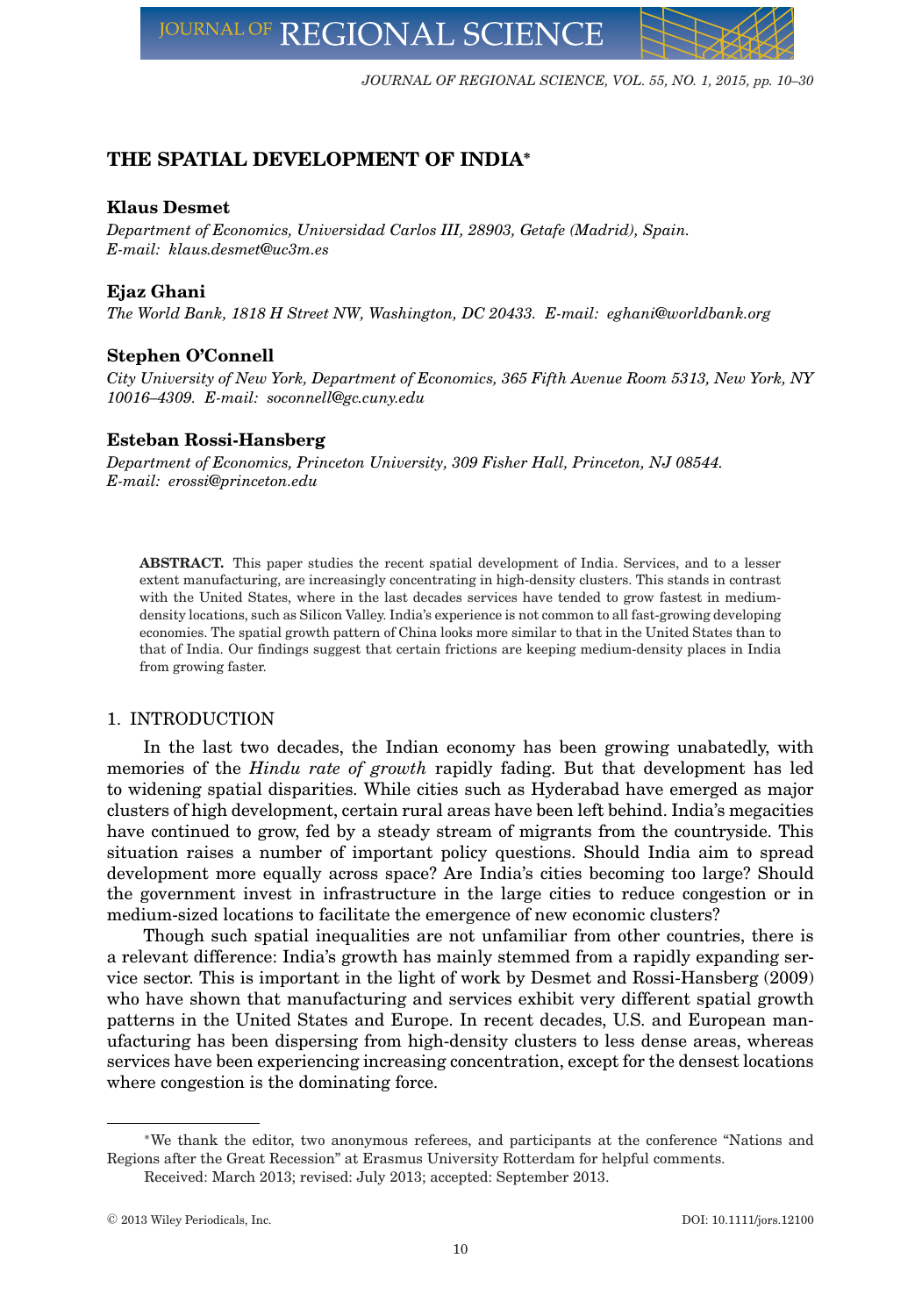# **THE SPATIAL DEVELOPMENT OF INDIA<sup>∗</sup>**

## **Klaus Desmet**

*Department of Economics, Universidad Carlos III, 28903, Getafe (Madrid), Spain. E-mail: klaus.desmet@uc3m.es*

# **Ejaz Ghani**

*The World Bank, 1818 H Street NW, Washington, DC 20433. E-mail: eghani@worldbank.org*

# **Stephen O'Connell**

*City University of New York, Department of Economics, 365 Fifth Avenue Room 5313, New York, NY 10016–4309. E-mail: soconnell@gc.cuny.edu*

### **Esteban Rossi-Hansberg**

*Department of Economics, Princeton University, 309 Fisher Hall, Princeton, NJ 08544. E-mail: erossi@princeton.edu*

**ABSTRACT.** This paper studies the recent spatial development of India. Services, and to a lesser extent manufacturing, are increasingly concentrating in high-density clusters. This stands in contrast with the United States, where in the last decades services have tended to grow fastest in mediumdensity locations, such as Silicon Valley. India's experience is not common to all fast-growing developing economies. The spatial growth pattern of China looks more similar to that in the United States than to that of India. Our findings suggest that certain frictions are keeping medium-density places in India from growing faster.

### 1. INTRODUCTION

In the last two decades, the Indian economy has been growing unabatedly, with memories of the *Hindu rate of growth* rapidly fading. But that development has led to widening spatial disparities. While cities such as Hyderabad have emerged as major clusters of high development, certain rural areas have been left behind. India's megacities have continued to grow, fed by a steady stream of migrants from the countryside. This situation raises a number of important policy questions. Should India aim to spread development more equally across space? Are India's cities becoming too large? Should the government invest in infrastructure in the large cities to reduce congestion or in medium-sized locations to facilitate the emergence of new economic clusters?

Though such spatial inequalities are not unfamiliar from other countries, there is a relevant difference: India's growth has mainly stemmed from a rapidly expanding service sector. This is important in the light of work by Desmet and Rossi-Hansberg (2009) who have shown that manufacturing and services exhibit very different spatial growth patterns in the United States and Europe. In recent decades, U.S. and European manufacturing has been dispersing from high-density clusters to less dense areas, whereas services have been experiencing increasing concentration, except for the densest locations where congestion is the dominating force.

<sup>∗</sup>We thank the editor, two anonymous referees, and participants at the conference "Nations and Regions after the Great Recession" at Erasmus University Rotterdam for helpful comments.

Received: March 2013; revised: July 2013; accepted: September 2013.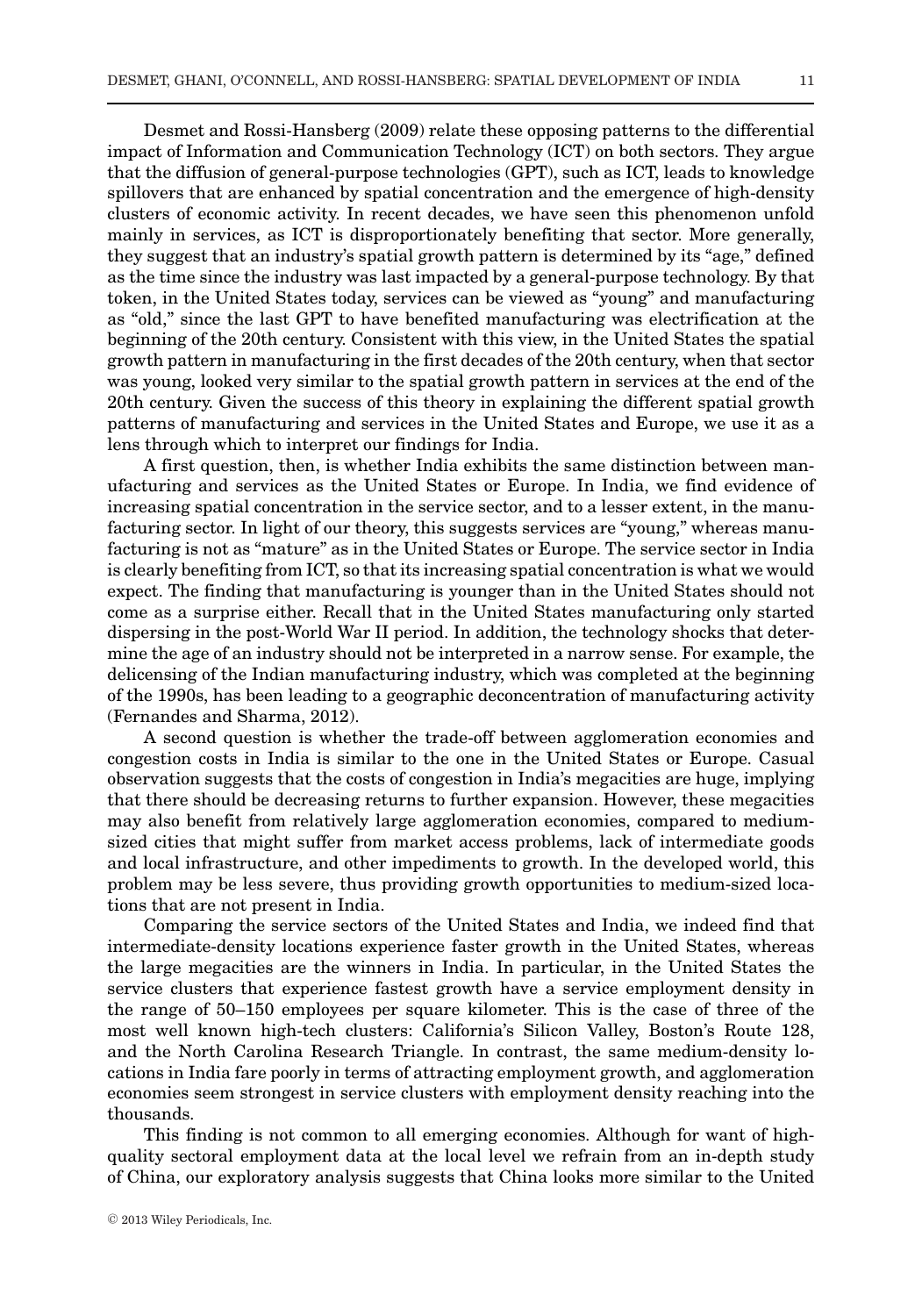Desmet and Rossi-Hansberg (2009) relate these opposing patterns to the differential impact of Information and Communication Technology (ICT) on both sectors. They argue that the diffusion of general-purpose technologies (GPT), such as ICT, leads to knowledge spillovers that are enhanced by spatial concentration and the emergence of high-density clusters of economic activity. In recent decades, we have seen this phenomenon unfold mainly in services, as ICT is disproportionately benefiting that sector. More generally, they suggest that an industry's spatial growth pattern is determined by its "age," defined as the time since the industry was last impacted by a general-purpose technology. By that token, in the United States today, services can be viewed as "young" and manufacturing as "old," since the last GPT to have benefited manufacturing was electrification at the beginning of the 20th century. Consistent with this view, in the United States the spatial growth pattern in manufacturing in the first decades of the 20th century, when that sector was young, looked very similar to the spatial growth pattern in services at the end of the 20th century. Given the success of this theory in explaining the different spatial growth patterns of manufacturing and services in the United States and Europe, we use it as a lens through which to interpret our findings for India.

A first question, then, is whether India exhibits the same distinction between manufacturing and services as the United States or Europe. In India, we find evidence of increasing spatial concentration in the service sector, and to a lesser extent, in the manufacturing sector. In light of our theory, this suggests services are "young," whereas manufacturing is not as "mature" as in the United States or Europe. The service sector in India is clearly benefiting from ICT, so that its increasing spatial concentration is what we would expect. The finding that manufacturing is younger than in the United States should not come as a surprise either. Recall that in the United States manufacturing only started dispersing in the post-World War II period. In addition, the technology shocks that determine the age of an industry should not be interpreted in a narrow sense. For example, the delicensing of the Indian manufacturing industry, which was completed at the beginning of the 1990s, has been leading to a geographic deconcentration of manufacturing activity (Fernandes and Sharma, 2012).

A second question is whether the trade-off between agglomeration economies and congestion costs in India is similar to the one in the United States or Europe. Casual observation suggests that the costs of congestion in India's megacities are huge, implying that there should be decreasing returns to further expansion. However, these megacities may also benefit from relatively large agglomeration economies, compared to mediumsized cities that might suffer from market access problems, lack of intermediate goods and local infrastructure, and other impediments to growth. In the developed world, this problem may be less severe, thus providing growth opportunities to medium-sized locations that are not present in India.

Comparing the service sectors of the United States and India, we indeed find that intermediate-density locations experience faster growth in the United States, whereas the large megacities are the winners in India. In particular, in the United States the service clusters that experience fastest growth have a service employment density in the range of 50–150 employees per square kilometer. This is the case of three of the most well known high-tech clusters: California's Silicon Valley, Boston's Route 128, and the North Carolina Research Triangle. In contrast, the same medium-density locations in India fare poorly in terms of attracting employment growth, and agglomeration economies seem strongest in service clusters with employment density reaching into the thousands.

This finding is not common to all emerging economies. Although for want of highquality sectoral employment data at the local level we refrain from an in-depth study of China, our exploratory analysis suggests that China looks more similar to the United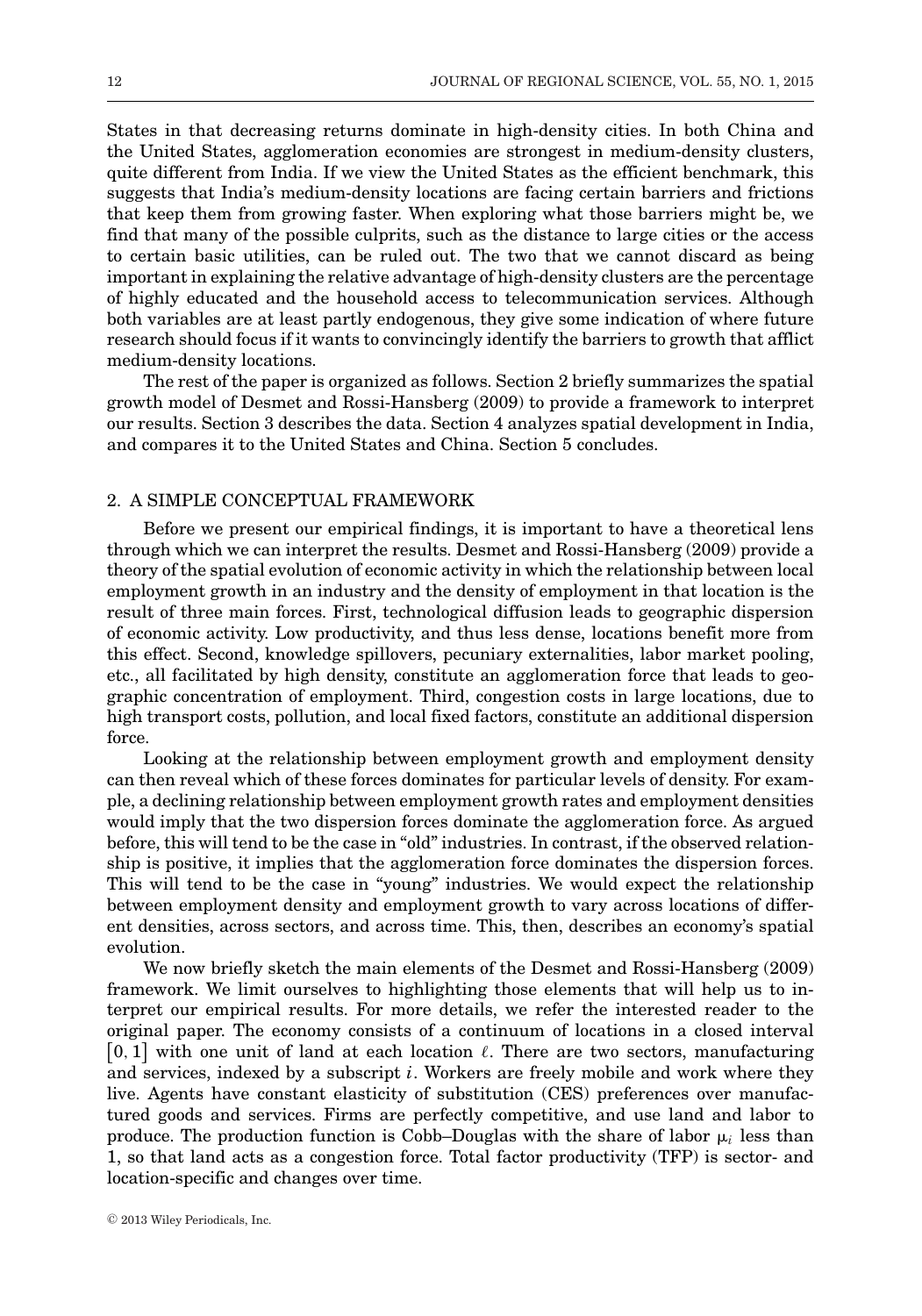States in that decreasing returns dominate in high-density cities. In both China and the United States, agglomeration economies are strongest in medium-density clusters, quite different from India. If we view the United States as the efficient benchmark, this suggests that India's medium-density locations are facing certain barriers and frictions that keep them from growing faster. When exploring what those barriers might be, we find that many of the possible culprits, such as the distance to large cities or the access to certain basic utilities, can be ruled out. The two that we cannot discard as being important in explaining the relative advantage of high-density clusters are the percentage of highly educated and the household access to telecommunication services. Although both variables are at least partly endogenous, they give some indication of where future research should focus if it wants to convincingly identify the barriers to growth that afflict medium-density locations.

The rest of the paper is organized as follows. Section 2 briefly summarizes the spatial growth model of Desmet and Rossi-Hansberg (2009) to provide a framework to interpret our results. Section 3 describes the data. Section 4 analyzes spatial development in India, and compares it to the United States and China. Section 5 concludes.

#### 2. A SIMPLE CONCEPTUAL FRAMEWORK

Before we present our empirical findings, it is important to have a theoretical lens through which we can interpret the results. Desmet and Rossi-Hansberg (2009) provide a theory of the spatial evolution of economic activity in which the relationship between local employment growth in an industry and the density of employment in that location is the result of three main forces. First, technological diffusion leads to geographic dispersion of economic activity. Low productivity, and thus less dense, locations benefit more from this effect. Second, knowledge spillovers, pecuniary externalities, labor market pooling, etc., all facilitated by high density, constitute an agglomeration force that leads to geographic concentration of employment. Third, congestion costs in large locations, due to high transport costs, pollution, and local fixed factors, constitute an additional dispersion force.

Looking at the relationship between employment growth and employment density can then reveal which of these forces dominates for particular levels of density. For example, a declining relationship between employment growth rates and employment densities would imply that the two dispersion forces dominate the agglomeration force. As argued before, this will tend to be the case in "old" industries. In contrast, if the observed relationship is positive, it implies that the agglomeration force dominates the dispersion forces. This will tend to be the case in "young" industries. We would expect the relationship between employment density and employment growth to vary across locations of different densities, across sectors, and across time. This, then, describes an economy's spatial evolution.

We now briefly sketch the main elements of the Desmet and Rossi-Hansberg (2009) framework. We limit ourselves to highlighting those elements that will help us to interpret our empirical results. For more details, we refer the interested reader to the original paper. The economy consists of a continuum of locations in a closed interval  $[0, 1]$  with one unit of land at each location  $\ell$ . There are two sectors, manufacturing and services, indexed by a subscript *i*. Workers are freely mobile and work where they live. Agents have constant elasticity of substitution (CES) preferences over manufactured goods and services. Firms are perfectly competitive, and use land and labor to produce. The production function is Cobb–Douglas with the share of labor  $\mu_i$  less than 1, so that land acts as a congestion force. Total factor productivity (TFP) is sector- and location-specific and changes over time.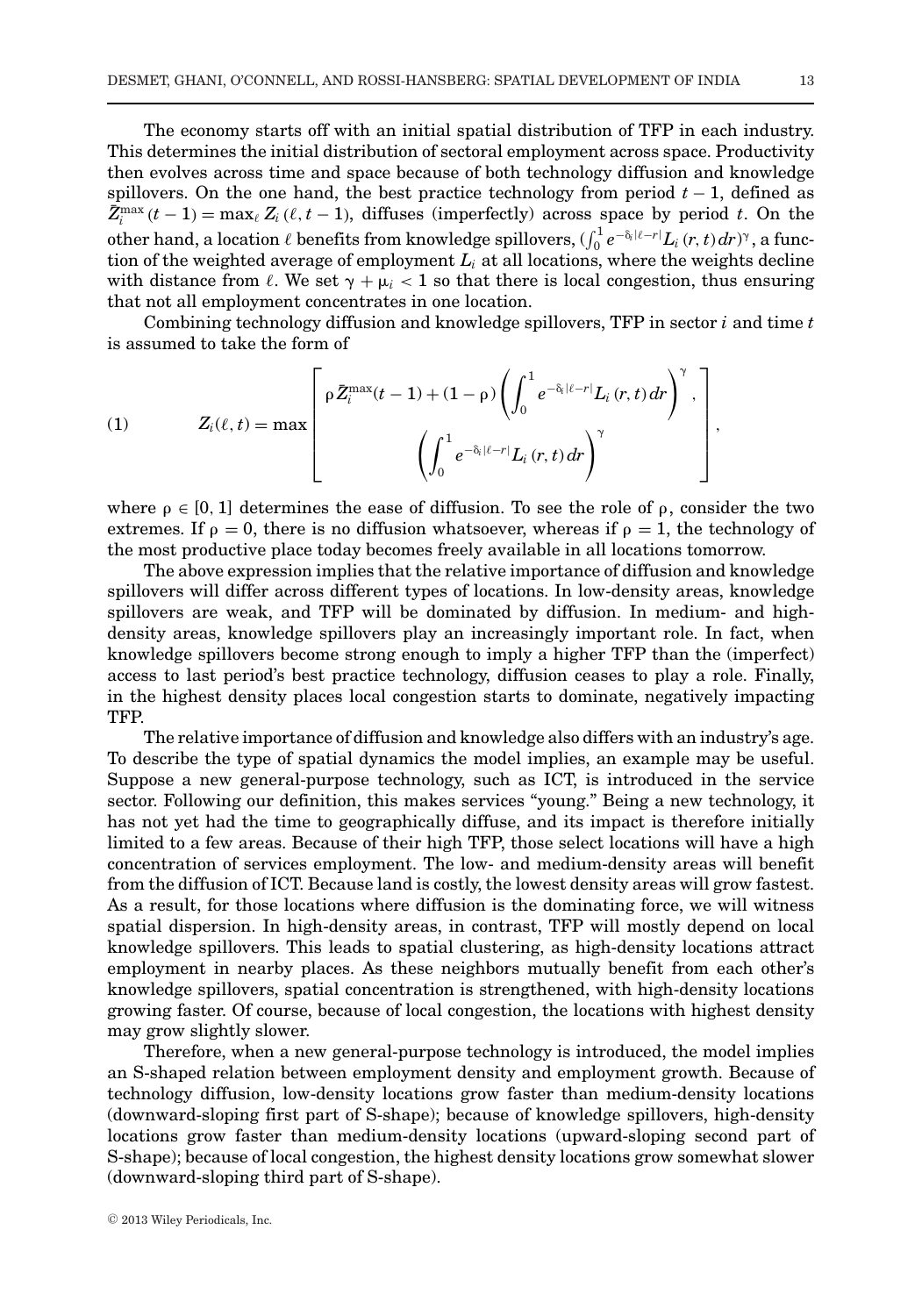The economy starts off with an initial spatial distribution of TFP in each industry. This determines the initial distribution of sectoral employment across space. Productivity then evolves across time and space because of both technology diffusion and knowledge spillovers. On the one hand, the best practice technology from period *t* − 1, defined as  $\bar{Z}_i^{\max}(t-1) = \max_{\ell} Z_i (\ell, t-1)$ , diffuses (imperfectly) across space by period *t*. On the  $\alpha$  other hand, a location  $\ell$  benefits from knowledge spillovers,  $(\int_0^1 e^{-\delta_i|\ell-r|} L_i(r,t) dr)^\gamma$ , a function of the weighted average of employment  $L<sub>i</sub>$  at all locations, where the weights decline with distance from  $\ell$ . We set  $\gamma + \mu_i < 1$  so that there is local congestion, thus ensuring that not all employment concentrates in one location.

Combining technology diffusion and knowledge spillovers, TFP in sector *i* and time *t* is assumed to take the form of

(1) 
$$
Z_i(\ell,t) = \max \left[\begin{array}{c} \rho Z_i^{\max}(t-1) + (1-\rho) \left( \int_0^1 e^{-\delta_i |\ell - r|} L_i(r,t) dr \right)^{\gamma}, \\ \left( \int_0^1 e^{-\delta_i |\ell - r|} L_i(r,t) dr \right)^{\gamma} \end{array}\right],
$$

where  $\rho \in [0, 1]$  determines the ease of diffusion. To see the role of  $\rho$ , consider the two extremes. If  $\rho = 0$ , there is no diffusion whatsoever, whereas if  $\rho = 1$ , the technology of the most productive place today becomes freely available in all locations tomorrow.

The above expression implies that the relative importance of diffusion and knowledge spillovers will differ across different types of locations. In low-density areas, knowledge spillovers are weak, and TFP will be dominated by diffusion. In medium- and highdensity areas, knowledge spillovers play an increasingly important role. In fact, when knowledge spillovers become strong enough to imply a higher TFP than the (imperfect) access to last period's best practice technology, diffusion ceases to play a role. Finally, in the highest density places local congestion starts to dominate, negatively impacting TFP.

The relative importance of diffusion and knowledge also differs with an industry's age. To describe the type of spatial dynamics the model implies, an example may be useful. Suppose a new general-purpose technology, such as ICT, is introduced in the service sector. Following our definition, this makes services "young." Being a new technology, it has not yet had the time to geographically diffuse, and its impact is therefore initially limited to a few areas. Because of their high TFP, those select locations will have a high concentration of services employment. The low- and medium-density areas will benefit from the diffusion of ICT. Because land is costly, the lowest density areas will grow fastest. As a result, for those locations where diffusion is the dominating force, we will witness spatial dispersion. In high-density areas, in contrast, TFP will mostly depend on local knowledge spillovers. This leads to spatial clustering, as high-density locations attract employment in nearby places. As these neighbors mutually benefit from each other's knowledge spillovers, spatial concentration is strengthened, with high-density locations growing faster. Of course, because of local congestion, the locations with highest density may grow slightly slower.

Therefore, when a new general-purpose technology is introduced, the model implies an S-shaped relation between employment density and employment growth. Because of technology diffusion, low-density locations grow faster than medium-density locations (downward-sloping first part of S-shape); because of knowledge spillovers, high-density locations grow faster than medium-density locations (upward-sloping second part of S-shape); because of local congestion, the highest density locations grow somewhat slower (downward-sloping third part of S-shape).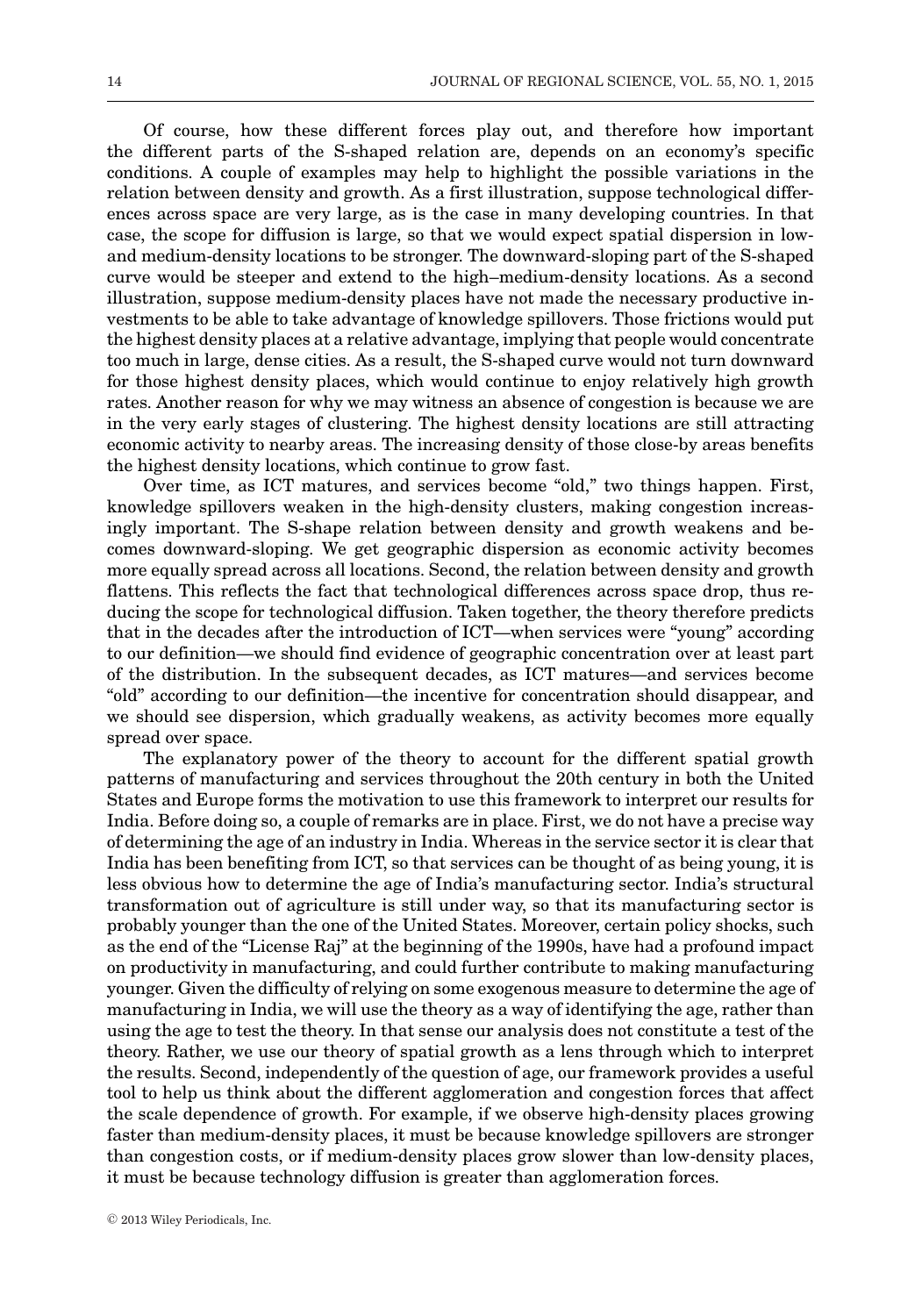Of course, how these different forces play out, and therefore how important the different parts of the S-shaped relation are, depends on an economy's specific conditions. A couple of examples may help to highlight the possible variations in the relation between density and growth. As a first illustration, suppose technological differences across space are very large, as is the case in many developing countries. In that case, the scope for diffusion is large, so that we would expect spatial dispersion in lowand medium-density locations to be stronger. The downward-sloping part of the S-shaped curve would be steeper and extend to the high–medium-density locations. As a second illustration, suppose medium-density places have not made the necessary productive investments to be able to take advantage of knowledge spillovers. Those frictions would put the highest density places at a relative advantage, implying that people would concentrate too much in large, dense cities. As a result, the S-shaped curve would not turn downward for those highest density places, which would continue to enjoy relatively high growth rates. Another reason for why we may witness an absence of congestion is because we are in the very early stages of clustering. The highest density locations are still attracting economic activity to nearby areas. The increasing density of those close-by areas benefits the highest density locations, which continue to grow fast.

Over time, as ICT matures, and services become "old," two things happen. First, knowledge spillovers weaken in the high-density clusters, making congestion increasingly important. The S-shape relation between density and growth weakens and becomes downward-sloping. We get geographic dispersion as economic activity becomes more equally spread across all locations. Second, the relation between density and growth flattens. This reflects the fact that technological differences across space drop, thus reducing the scope for technological diffusion. Taken together, the theory therefore predicts that in the decades after the introduction of ICT—when services were "young" according to our definition—we should find evidence of geographic concentration over at least part of the distribution. In the subsequent decades, as ICT matures—and services become "old" according to our definition—the incentive for concentration should disappear, and we should see dispersion, which gradually weakens, as activity becomes more equally spread over space.

The explanatory power of the theory to account for the different spatial growth patterns of manufacturing and services throughout the 20th century in both the United States and Europe forms the motivation to use this framework to interpret our results for India. Before doing so, a couple of remarks are in place. First, we do not have a precise way of determining the age of an industry in India. Whereas in the service sector it is clear that India has been benefiting from ICT, so that services can be thought of as being young, it is less obvious how to determine the age of India's manufacturing sector. India's structural transformation out of agriculture is still under way, so that its manufacturing sector is probably younger than the one of the United States. Moreover, certain policy shocks, such as the end of the "License Raj" at the beginning of the 1990s, have had a profound impact on productivity in manufacturing, and could further contribute to making manufacturing younger. Given the difficulty of relying on some exogenous measure to determine the age of manufacturing in India, we will use the theory as a way of identifying the age, rather than using the age to test the theory. In that sense our analysis does not constitute a test of the theory. Rather, we use our theory of spatial growth as a lens through which to interpret the results. Second, independently of the question of age, our framework provides a useful tool to help us think about the different agglomeration and congestion forces that affect the scale dependence of growth. For example, if we observe high-density places growing faster than medium-density places, it must be because knowledge spillovers are stronger than congestion costs, or if medium-density places grow slower than low-density places, it must be because technology diffusion is greater than agglomeration forces.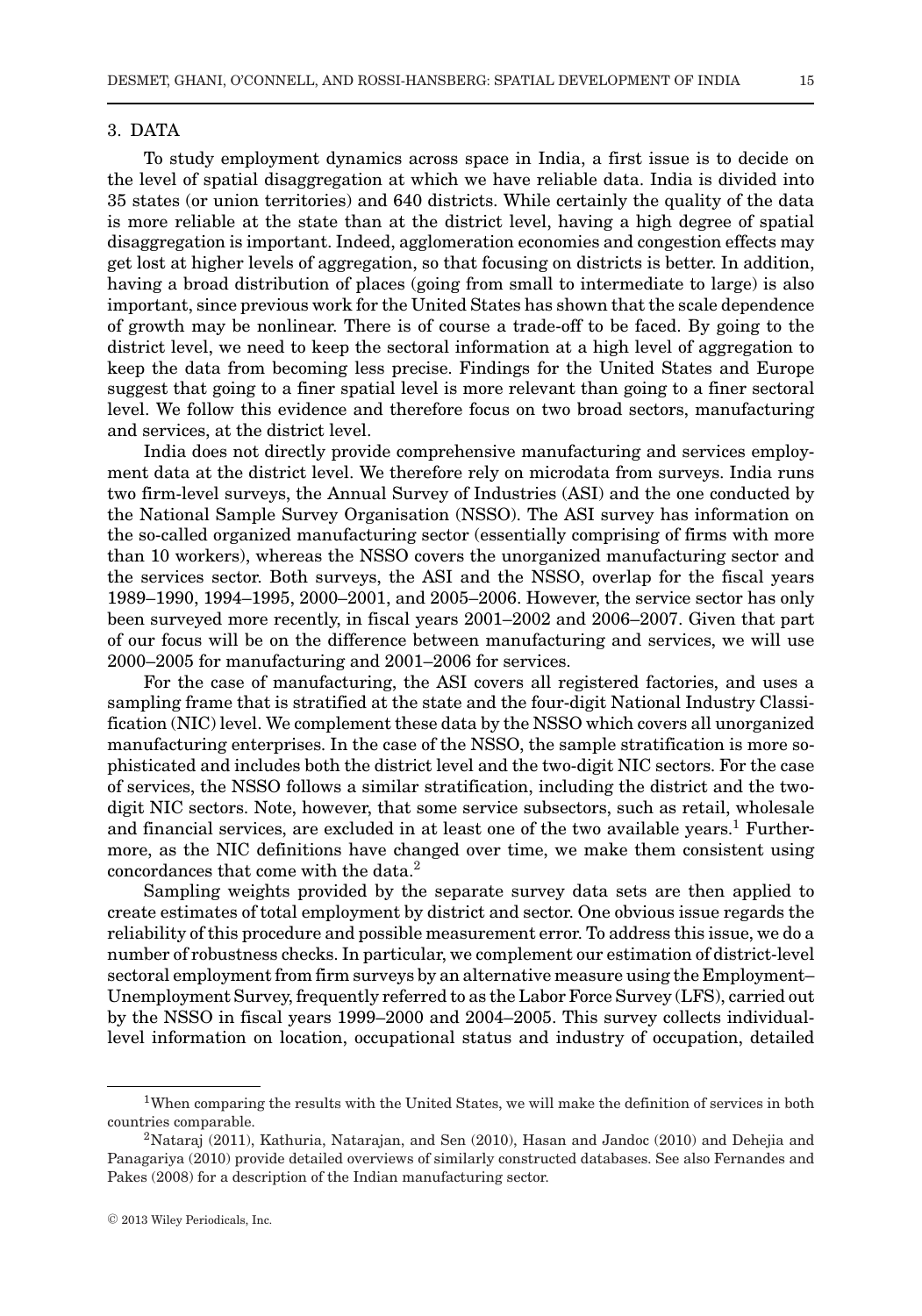#### 3. DATA

To study employment dynamics across space in India, a first issue is to decide on the level of spatial disaggregation at which we have reliable data. India is divided into 35 states (or union territories) and 640 districts. While certainly the quality of the data is more reliable at the state than at the district level, having a high degree of spatial disaggregation is important. Indeed, agglomeration economies and congestion effects may get lost at higher levels of aggregation, so that focusing on districts is better. In addition, having a broad distribution of places (going from small to intermediate to large) is also important, since previous work for the United States has shown that the scale dependence of growth may be nonlinear. There is of course a trade-off to be faced. By going to the district level, we need to keep the sectoral information at a high level of aggregation to keep the data from becoming less precise. Findings for the United States and Europe suggest that going to a finer spatial level is more relevant than going to a finer sectoral level. We follow this evidence and therefore focus on two broad sectors, manufacturing and services, at the district level.

India does not directly provide comprehensive manufacturing and services employment data at the district level. We therefore rely on microdata from surveys. India runs two firm-level surveys, the Annual Survey of Industries (ASI) and the one conducted by the National Sample Survey Organisation (NSSO). The ASI survey has information on the so-called organized manufacturing sector (essentially comprising of firms with more than 10 workers), whereas the NSSO covers the unorganized manufacturing sector and the services sector. Both surveys, the ASI and the NSSO, overlap for the fiscal years 1989–1990, 1994–1995, 2000–2001, and 2005–2006. However, the service sector has only been surveyed more recently, in fiscal years 2001–2002 and 2006–2007. Given that part of our focus will be on the difference between manufacturing and services, we will use 2000–2005 for manufacturing and 2001–2006 for services.

For the case of manufacturing, the ASI covers all registered factories, and uses a sampling frame that is stratified at the state and the four-digit National Industry Classification (NIC) level. We complement these data by the NSSO which covers all unorganized manufacturing enterprises. In the case of the NSSO, the sample stratification is more sophisticated and includes both the district level and the two-digit NIC sectors. For the case of services, the NSSO follows a similar stratification, including the district and the twodigit NIC sectors. Note, however, that some service subsectors, such as retail, wholesale and financial services, are excluded in at least one of the two available years.<sup>1</sup> Furthermore, as the NIC definitions have changed over time, we make them consistent using concordances that come with the data.<sup>2</sup>

Sampling weights provided by the separate survey data sets are then applied to create estimates of total employment by district and sector. One obvious issue regards the reliability of this procedure and possible measurement error. To address this issue, we do a number of robustness checks. In particular, we complement our estimation of district-level sectoral employment from firm surveys by an alternative measure using the Employment– Unemployment Survey, frequently referred to as the Labor Force Survey (LFS), carried out by the NSSO in fiscal years 1999–2000 and 2004–2005. This survey collects individuallevel information on location, occupational status and industry of occupation, detailed

<sup>1</sup>When comparing the results with the United States, we will make the definition of services in both countries comparable.

<sup>2</sup>Nataraj (2011), Kathuria, Natarajan, and Sen (2010), Hasan and Jandoc (2010) and Dehejia and Panagariya (2010) provide detailed overviews of similarly constructed databases. See also Fernandes and Pakes (2008) for a description of the Indian manufacturing sector.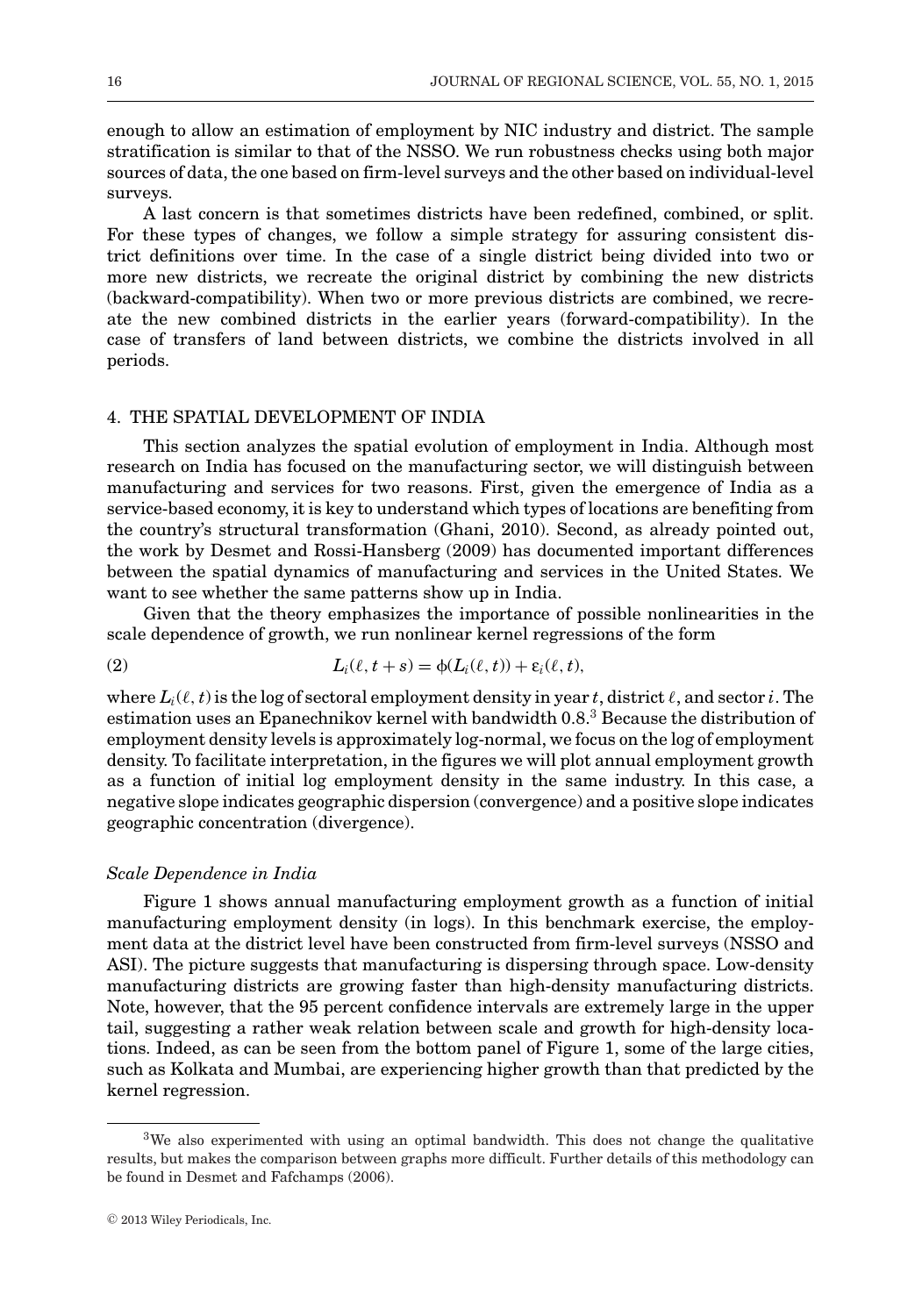enough to allow an estimation of employment by NIC industry and district. The sample stratification is similar to that of the NSSO. We run robustness checks using both major sources of data, the one based on firm-level surveys and the other based on individual-level surveys.

A last concern is that sometimes districts have been redefined, combined, or split. For these types of changes, we follow a simple strategy for assuring consistent district definitions over time. In the case of a single district being divided into two or more new districts, we recreate the original district by combining the new districts (backward-compatibility). When two or more previous districts are combined, we recreate the new combined districts in the earlier years (forward-compatibility). In the case of transfers of land between districts, we combine the districts involved in all periods.

### 4. THE SPATIAL DEVELOPMENT OF INDIA

This section analyzes the spatial evolution of employment in India. Although most research on India has focused on the manufacturing sector, we will distinguish between manufacturing and services for two reasons. First, given the emergence of India as a service-based economy, it is key to understand which types of locations are benefiting from the country's structural transformation (Ghani, 2010). Second, as already pointed out, the work by Desmet and Rossi-Hansberg (2009) has documented important differences between the spatial dynamics of manufacturing and services in the United States. We want to see whether the same patterns show up in India.

Given that the theory emphasizes the importance of possible nonlinearities in the scale dependence of growth, we run nonlinear kernel regressions of the form

(2) 
$$
L_i(\ell, t + s) = \phi(L_i(\ell, t)) + \varepsilon_i(\ell, t),
$$

where  $L_i(\ell,t)$  is the log of sectoral employment density in year  $t$  , district  $\ell$  , and sector  $i$  . The estimation uses an Epanechnikov kernel with bandwidth 0.8.3 Because the distribution of employment density levels is approximately log-normal, we focus on the log of employment density. To facilitate interpretation, in the figures we will plot annual employment growth as a function of initial log employment density in the same industry. In this case, a negative slope indicates geographic dispersion (convergence) and a positive slope indicates geographic concentration (divergence).

### *Scale Dependence in India*

Figure 1 shows annual manufacturing employment growth as a function of initial manufacturing employment density (in logs). In this benchmark exercise, the employment data at the district level have been constructed from firm-level surveys (NSSO and ASI). The picture suggests that manufacturing is dispersing through space. Low-density manufacturing districts are growing faster than high-density manufacturing districts. Note, however, that the 95 percent confidence intervals are extremely large in the upper tail, suggesting a rather weak relation between scale and growth for high-density locations. Indeed, as can be seen from the bottom panel of Figure 1, some of the large cities, such as Kolkata and Mumbai, are experiencing higher growth than that predicted by the kernel regression.

<sup>3</sup>We also experimented with using an optimal bandwidth. This does not change the qualitative results, but makes the comparison between graphs more difficult. Further details of this methodology can be found in Desmet and Fafchamps (2006).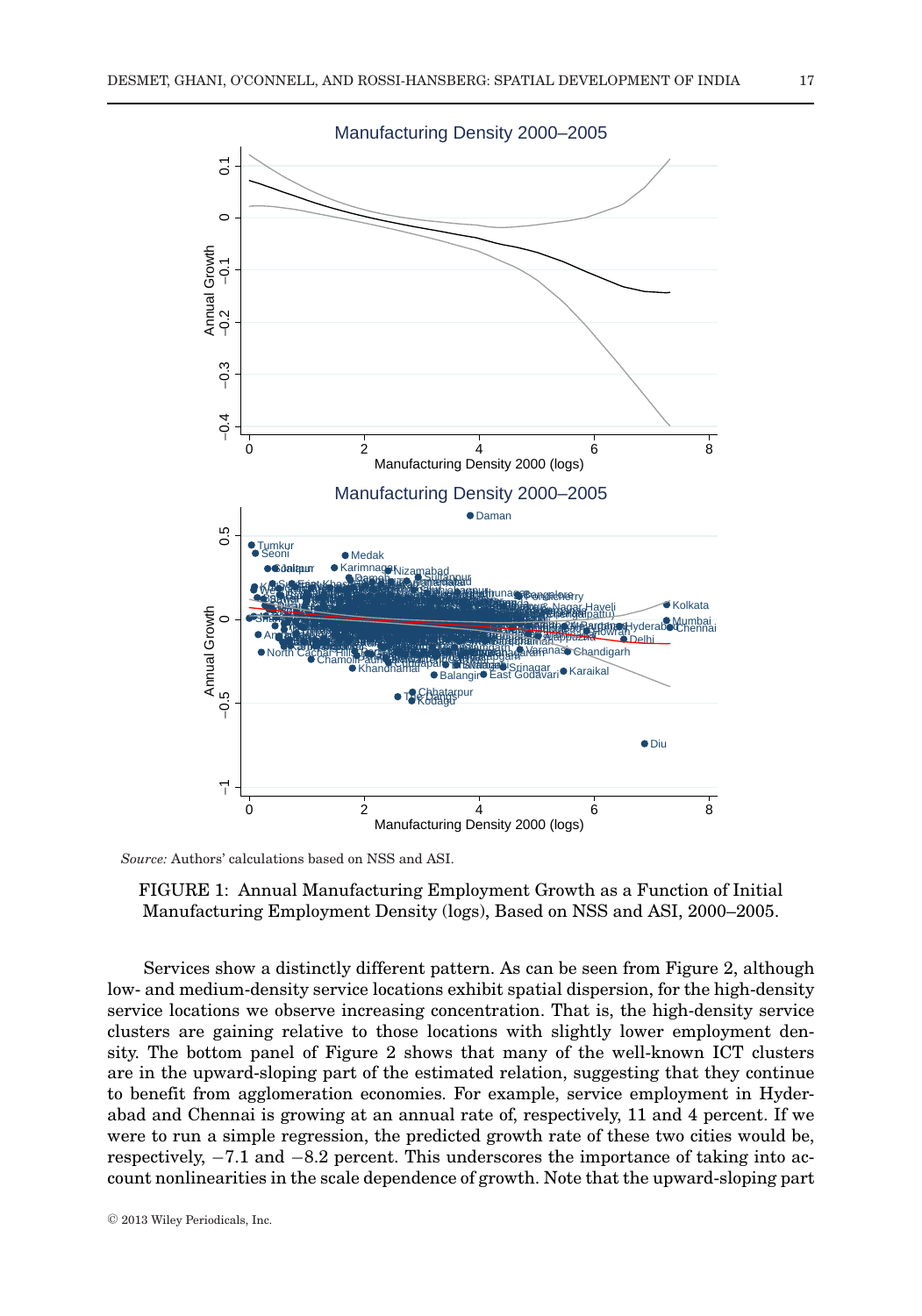

*Source:* Authors' calculations based on NSS and ASI.



Services show a distinctly different pattern. As can be seen from Figure 2, although low- and medium-density service locations exhibit spatial dispersion, for the high-density service locations we observe increasing concentration. That is, the high-density service clusters are gaining relative to those locations with slightly lower employment density. The bottom panel of Figure 2 shows that many of the well-known ICT clusters are in the upward-sloping part of the estimated relation, suggesting that they continue to benefit from agglomeration economies. For example, service employment in Hyderabad and Chennai is growing at an annual rate of, respectively, 11 and 4 percent. If we were to run a simple regression, the predicted growth rate of these two cities would be, respectively, −7.1 and −8.2 percent. This underscores the importance of taking into account nonlinearities in the scale dependence of growth. Note that the upward-sloping part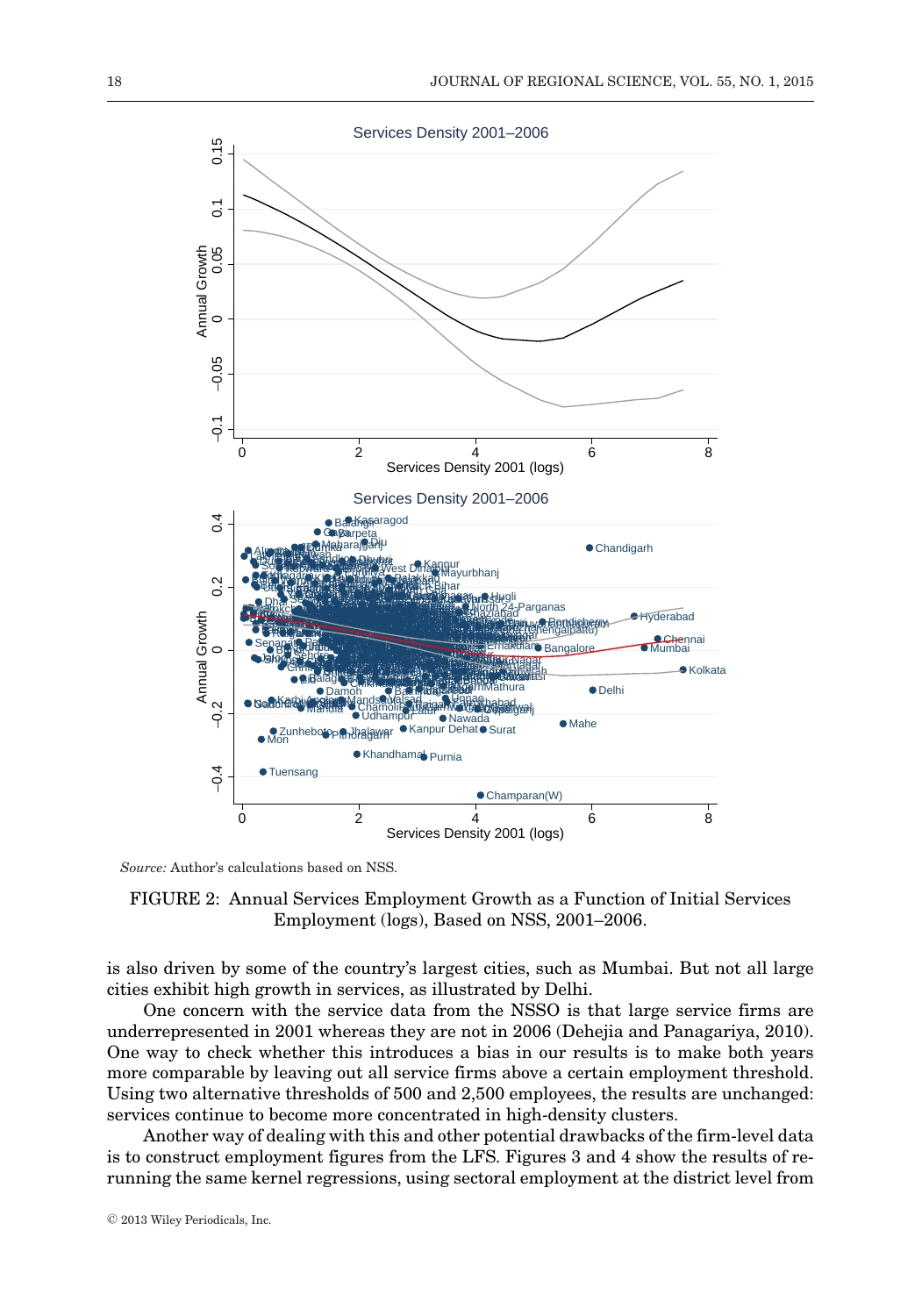

*Source:* Author's calculations based on NSS.



is also driven by some of the country's largest cities, such as Mumbai. But not all large cities exhibit high growth in services, as illustrated by Delhi.

One concern with the service data from the NSSO is that large service firms are underrepresented in 2001 whereas they are not in 2006 (Dehejia and Panagariya, 2010). One way to check whether this introduces a bias in our results is to make both years more comparable by leaving out all service firms above a certain employment threshold. Using two alternative thresholds of 500 and 2,500 employees, the results are unchanged: services continue to become more concentrated in high-density clusters.

Another way of dealing with this and other potential drawbacks of the firm-level data is to construct employment figures from the LFS. Figures 3 and 4 show the results of rerunning the same kernel regressions, using sectoral employment at the district level from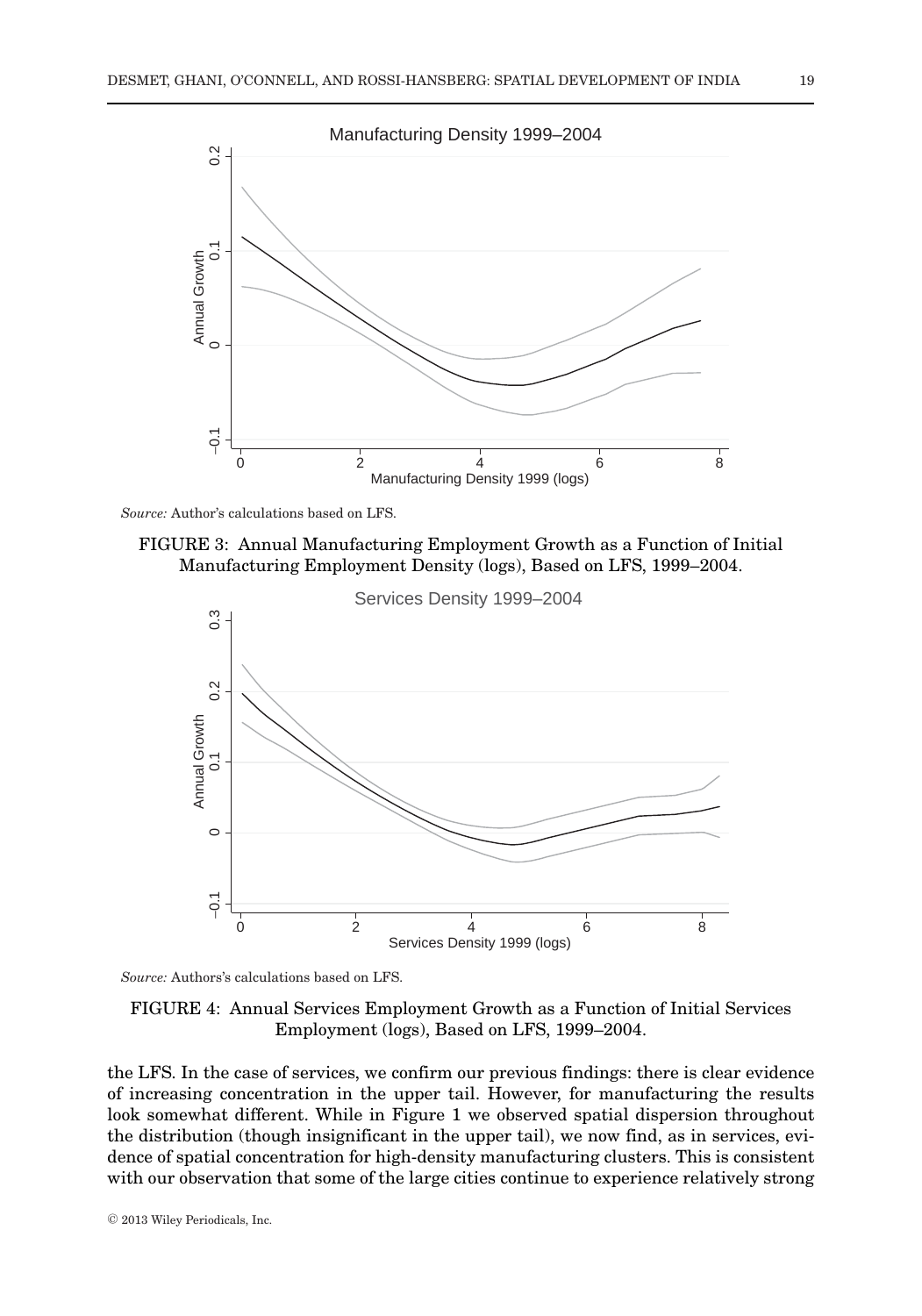

*Source:* Author's calculations based on LFS.





*Source:* Authors's calculations based on LFS.

FIGURE 4: Annual Services Employment Growth as a Function of Initial Services Employment (logs), Based on LFS, 1999–2004.

the LFS. In the case of services, we confirm our previous findings: there is clear evidence of increasing concentration in the upper tail. However, for manufacturing the results look somewhat different. While in Figure 1 we observed spatial dispersion throughout the distribution (though insignificant in the upper tail), we now find, as in services, evidence of spatial concentration for high-density manufacturing clusters. This is consistent with our observation that some of the large cities continue to experience relatively strong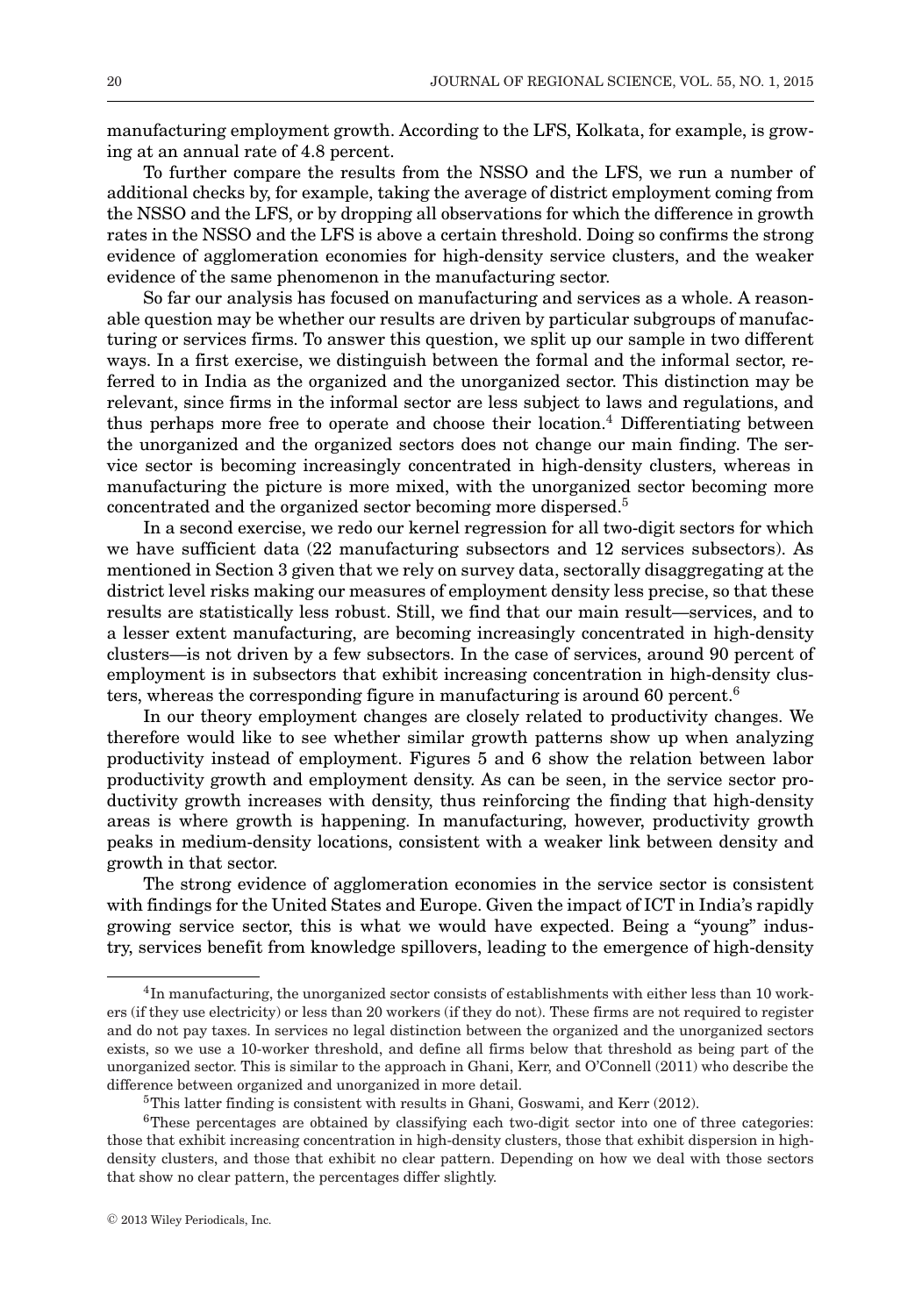manufacturing employment growth. According to the LFS, Kolkata, for example, is growing at an annual rate of 4.8 percent.

To further compare the results from the NSSO and the LFS, we run a number of additional checks by, for example, taking the average of district employment coming from the NSSO and the LFS, or by dropping all observations for which the difference in growth rates in the NSSO and the LFS is above a certain threshold. Doing so confirms the strong evidence of agglomeration economies for high-density service clusters, and the weaker evidence of the same phenomenon in the manufacturing sector.

So far our analysis has focused on manufacturing and services as a whole. A reasonable question may be whether our results are driven by particular subgroups of manufacturing or services firms. To answer this question, we split up our sample in two different ways. In a first exercise, we distinguish between the formal and the informal sector, referred to in India as the organized and the unorganized sector. This distinction may be relevant, since firms in the informal sector are less subject to laws and regulations, and thus perhaps more free to operate and choose their location.4 Differentiating between the unorganized and the organized sectors does not change our main finding. The service sector is becoming increasingly concentrated in high-density clusters, whereas in manufacturing the picture is more mixed, with the unorganized sector becoming more concentrated and the organized sector becoming more dispersed.5

In a second exercise, we redo our kernel regression for all two-digit sectors for which we have sufficient data (22 manufacturing subsectors and 12 services subsectors). As mentioned in Section 3 given that we rely on survey data, sectorally disaggregating at the district level risks making our measures of employment density less precise, so that these results are statistically less robust. Still, we find that our main result—services, and to a lesser extent manufacturing, are becoming increasingly concentrated in high-density clusters—is not driven by a few subsectors. In the case of services, around 90 percent of employment is in subsectors that exhibit increasing concentration in high-density clusters, whereas the corresponding figure in manufacturing is around 60 percent.<sup>6</sup>

In our theory employment changes are closely related to productivity changes. We therefore would like to see whether similar growth patterns show up when analyzing productivity instead of employment. Figures 5 and 6 show the relation between labor productivity growth and employment density. As can be seen, in the service sector productivity growth increases with density, thus reinforcing the finding that high-density areas is where growth is happening. In manufacturing, however, productivity growth peaks in medium-density locations, consistent with a weaker link between density and growth in that sector.

The strong evidence of agglomeration economies in the service sector is consistent with findings for the United States and Europe. Given the impact of ICT in India's rapidly growing service sector, this is what we would have expected. Being a "young" industry, services benefit from knowledge spillovers, leading to the emergence of high-density

<sup>&</sup>lt;sup>4</sup>In manufacturing, the unorganized sector consists of establishments with either less than 10 workers (if they use electricity) or less than 20 workers (if they do not). These firms are not required to register and do not pay taxes. In services no legal distinction between the organized and the unorganized sectors exists, so we use a 10-worker threshold, and define all firms below that threshold as being part of the unorganized sector. This is similar to the approach in Ghani, Kerr, and O'Connell (2011) who describe the difference between organized and unorganized in more detail.

<sup>5</sup>This latter finding is consistent with results in Ghani, Goswami, and Kerr (2012).

<sup>&</sup>lt;sup>6</sup>These percentages are obtained by classifying each two-digit sector into one of three categories: those that exhibit increasing concentration in high-density clusters, those that exhibit dispersion in highdensity clusters, and those that exhibit no clear pattern. Depending on how we deal with those sectors that show no clear pattern, the percentages differ slightly.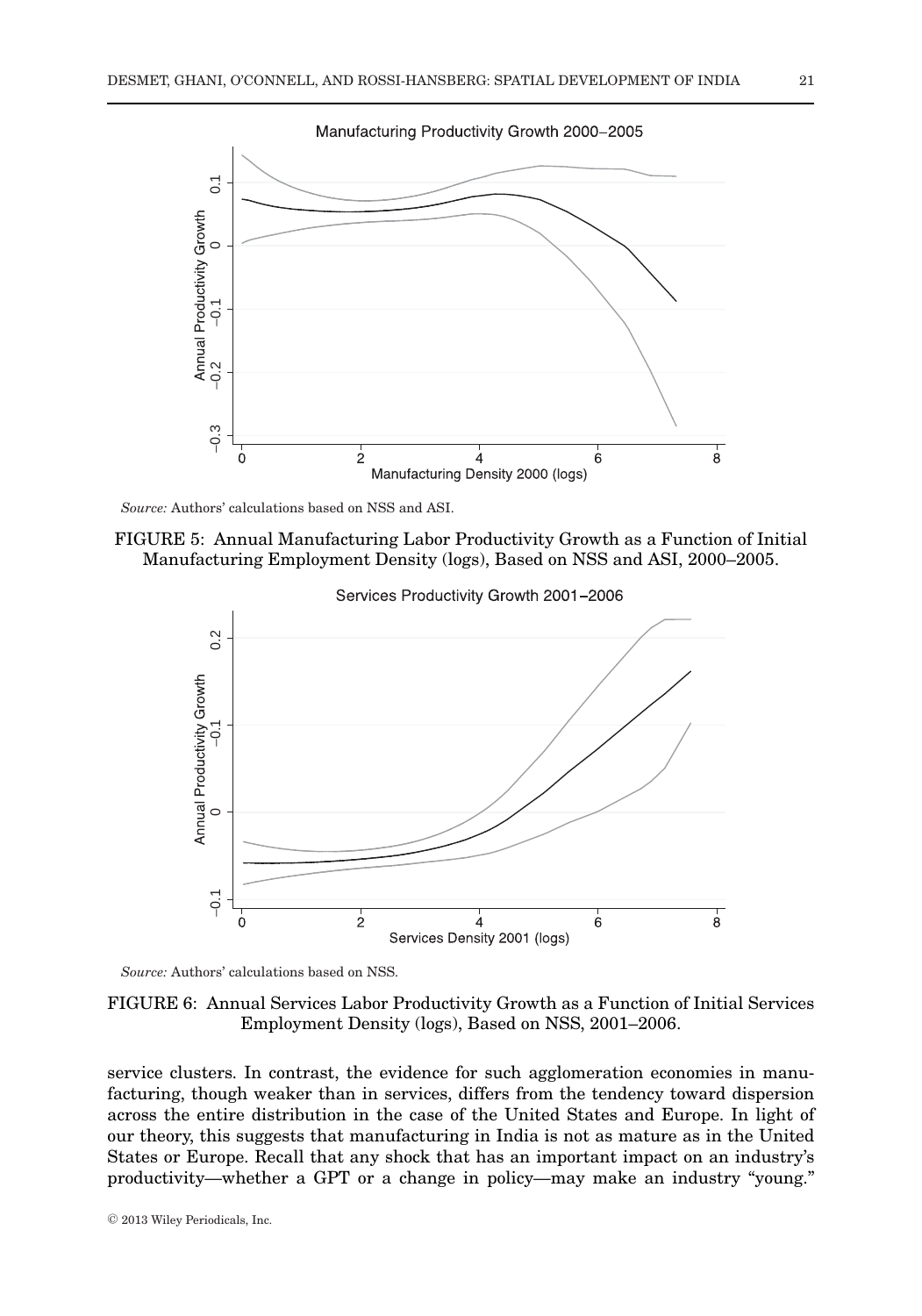

*Source:* Authors' calculations based on NSS and ASI.





*Source:* Authors' calculations based on NSS.



service clusters. In contrast, the evidence for such agglomeration economies in manufacturing, though weaker than in services, differs from the tendency toward dispersion across the entire distribution in the case of the United States and Europe. In light of our theory, this suggests that manufacturing in India is not as mature as in the United States or Europe. Recall that any shock that has an important impact on an industry's productivity—whether a GPT or a change in policy—may make an industry "young."

 $©$  2013 Wiley Periodicals, Inc.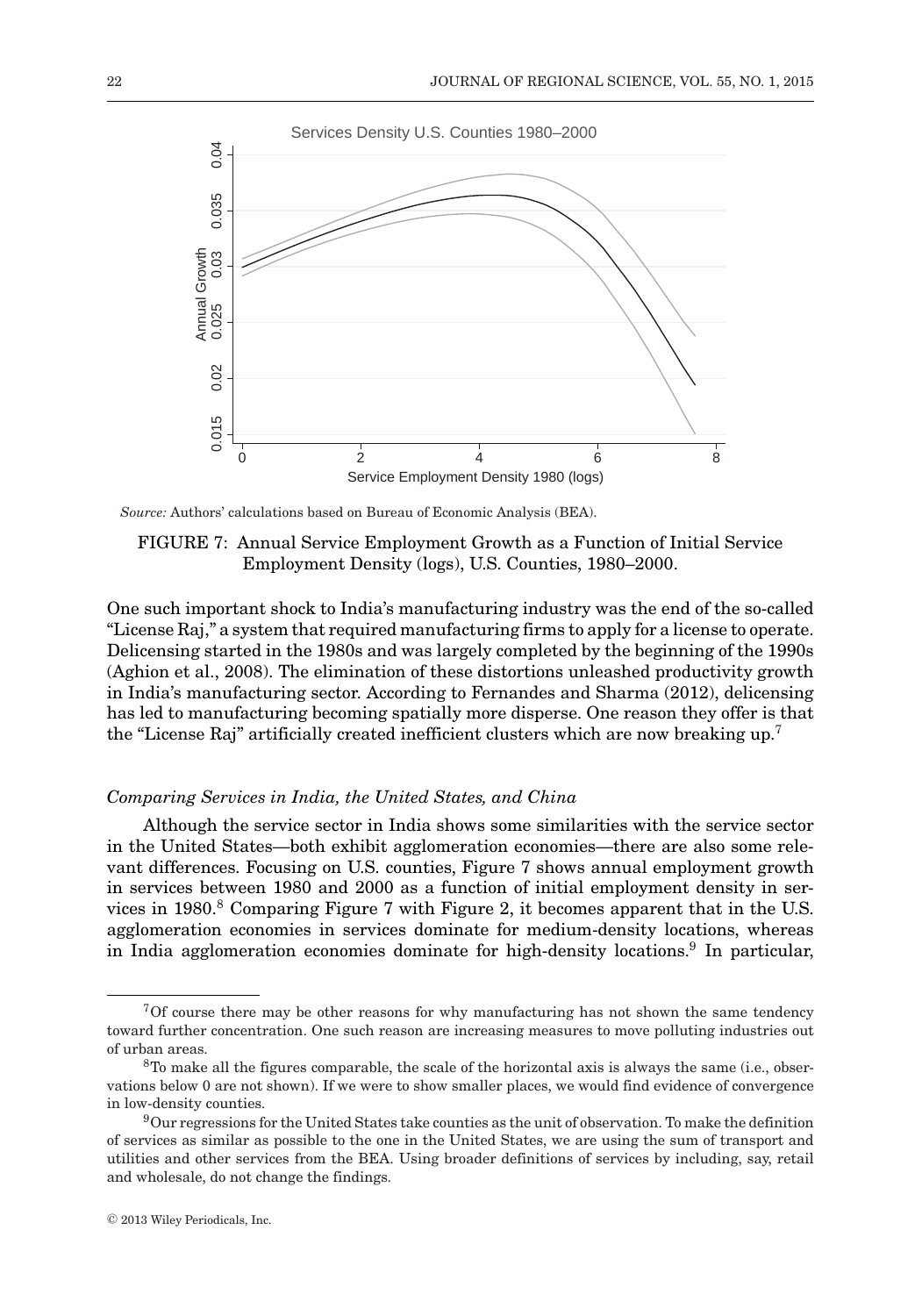

*Source:* Authors' calculations based on Bureau of Economic Analysis (BEA).

# FIGURE 7: Annual Service Employment Growth as a Function of Initial Service Employment Density (logs), U.S. Counties, 1980–2000.

One such important shock to India's manufacturing industry was the end of the so-called "License Raj," a system that required manufacturing firms to apply for a license to operate. Delicensing started in the 1980s and was largely completed by the beginning of the 1990s (Aghion et al., 2008). The elimination of these distortions unleashed productivity growth in India's manufacturing sector. According to Fernandes and Sharma (2012), delicensing has led to manufacturing becoming spatially more disperse. One reason they offer is that the "License Raj" artificially created inefficient clusters which are now breaking up.<sup>7</sup>

### *Comparing Services in India, the United States, and China*

Although the service sector in India shows some similarities with the service sector in the United States—both exhibit agglomeration economies—there are also some relevant differences. Focusing on U.S. counties, Figure 7 shows annual employment growth in services between 1980 and 2000 as a function of initial employment density in services in 1980.<sup>8</sup> Comparing Figure 7 with Figure 2, it becomes apparent that in the U.S. agglomeration economies in services dominate for medium-density locations, whereas in India agglomeration economies dominate for high-density locations.<sup>9</sup> In particular,

<sup>7</sup>Of course there may be other reasons for why manufacturing has not shown the same tendency toward further concentration. One such reason are increasing measures to move polluting industries out of urban areas.

 $8T_0$  make all the figures comparable, the scale of the horizontal axis is always the same (i.e., observations below 0 are not shown). If we were to show smaller places, we would find evidence of convergence in low-density counties.

<sup>9</sup>Our regressions for the United States take counties as the unit of observation. To make the definition of services as similar as possible to the one in the United States, we are using the sum of transport and utilities and other services from the BEA. Using broader definitions of services by including, say, retail and wholesale, do not change the findings.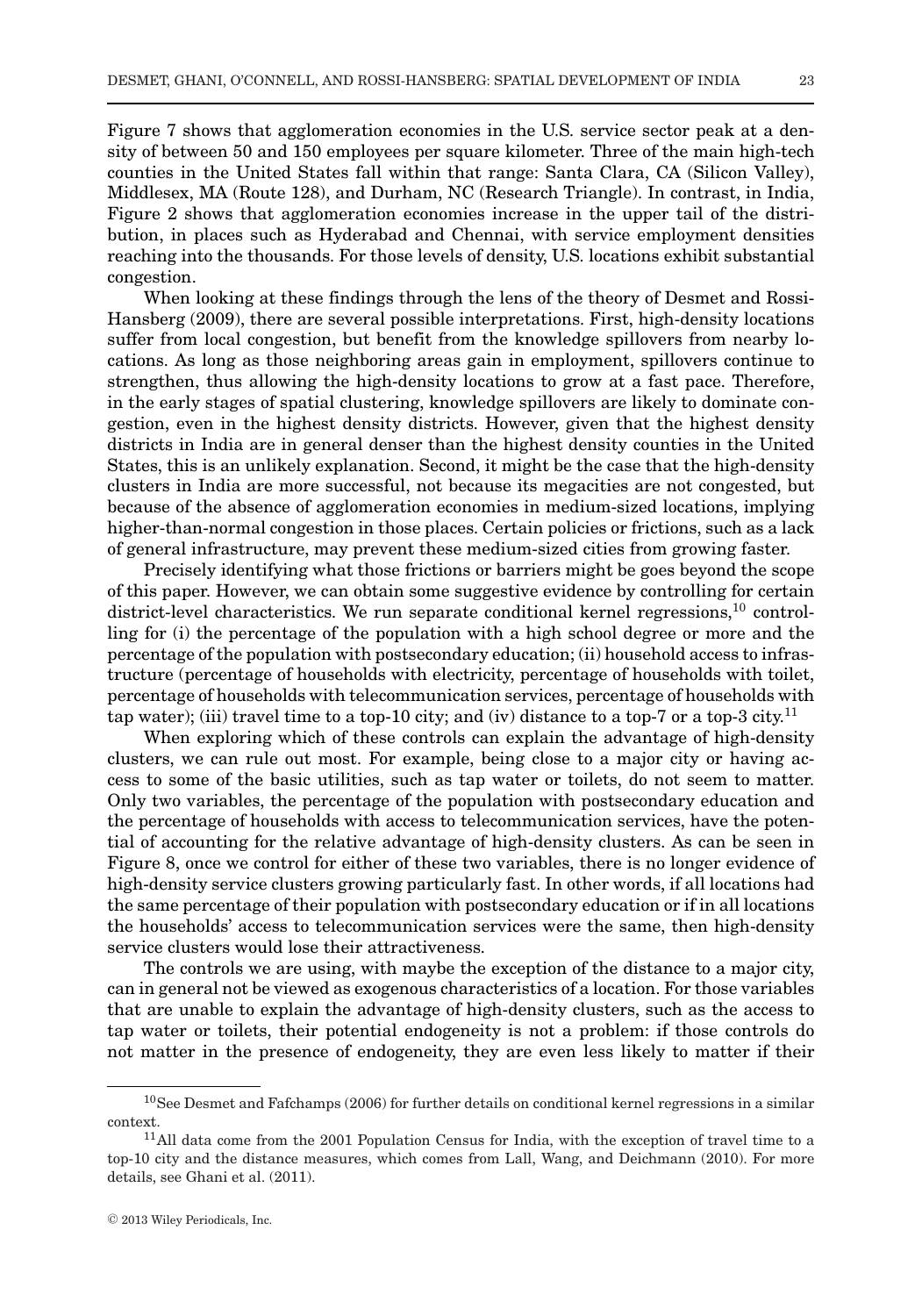Figure 7 shows that agglomeration economies in the U.S. service sector peak at a density of between 50 and 150 employees per square kilometer. Three of the main high-tech counties in the United States fall within that range: Santa Clara, CA (Silicon Valley), Middlesex, MA (Route 128), and Durham, NC (Research Triangle). In contrast, in India, Figure 2 shows that agglomeration economies increase in the upper tail of the distribution, in places such as Hyderabad and Chennai, with service employment densities reaching into the thousands. For those levels of density, U.S. locations exhibit substantial congestion.

When looking at these findings through the lens of the theory of Desmet and Rossi-Hansberg (2009), there are several possible interpretations. First, high-density locations suffer from local congestion, but benefit from the knowledge spillovers from nearby locations. As long as those neighboring areas gain in employment, spillovers continue to strengthen, thus allowing the high-density locations to grow at a fast pace. Therefore, in the early stages of spatial clustering, knowledge spillovers are likely to dominate congestion, even in the highest density districts. However, given that the highest density districts in India are in general denser than the highest density counties in the United States, this is an unlikely explanation. Second, it might be the case that the high-density clusters in India are more successful, not because its megacities are not congested, but because of the absence of agglomeration economies in medium-sized locations, implying higher-than-normal congestion in those places. Certain policies or frictions, such as a lack of general infrastructure, may prevent these medium-sized cities from growing faster.

Precisely identifying what those frictions or barriers might be goes beyond the scope of this paper. However, we can obtain some suggestive evidence by controlling for certain district-level characteristics. We run separate conditional kernel regressions, $10$  controlling for (i) the percentage of the population with a high school degree or more and the percentage of the population with postsecondary education; (ii) household access to infrastructure (percentage of households with electricity, percentage of households with toilet, percentage of households with telecommunication services, percentage of households with tap water); (iii) travel time to a top-10 city; and (iv) distance to a top-7 or a top-3 city.<sup>11</sup>

When exploring which of these controls can explain the advantage of high-density clusters, we can rule out most. For example, being close to a major city or having access to some of the basic utilities, such as tap water or toilets, do not seem to matter. Only two variables, the percentage of the population with postsecondary education and the percentage of households with access to telecommunication services, have the potential of accounting for the relative advantage of high-density clusters. As can be seen in Figure 8, once we control for either of these two variables, there is no longer evidence of high-density service clusters growing particularly fast. In other words, if all locations had the same percentage of their population with postsecondary education or if in all locations the households' access to telecommunication services were the same, then high-density service clusters would lose their attractiveness.

The controls we are using, with maybe the exception of the distance to a major city, can in general not be viewed as exogenous characteristics of a location. For those variables that are unable to explain the advantage of high-density clusters, such as the access to tap water or toilets, their potential endogeneity is not a problem: if those controls do not matter in the presence of endogeneity, they are even less likely to matter if their

 $10$ See Desmet and Fafchamps (2006) for further details on conditional kernel regressions in a similar context.

<sup>&</sup>lt;sup>11</sup>All data come from the 2001 Population Census for India, with the exception of travel time to a top-10 city and the distance measures, which comes from Lall, Wang, and Deichmann (2010). For more details, see Ghani et al. (2011).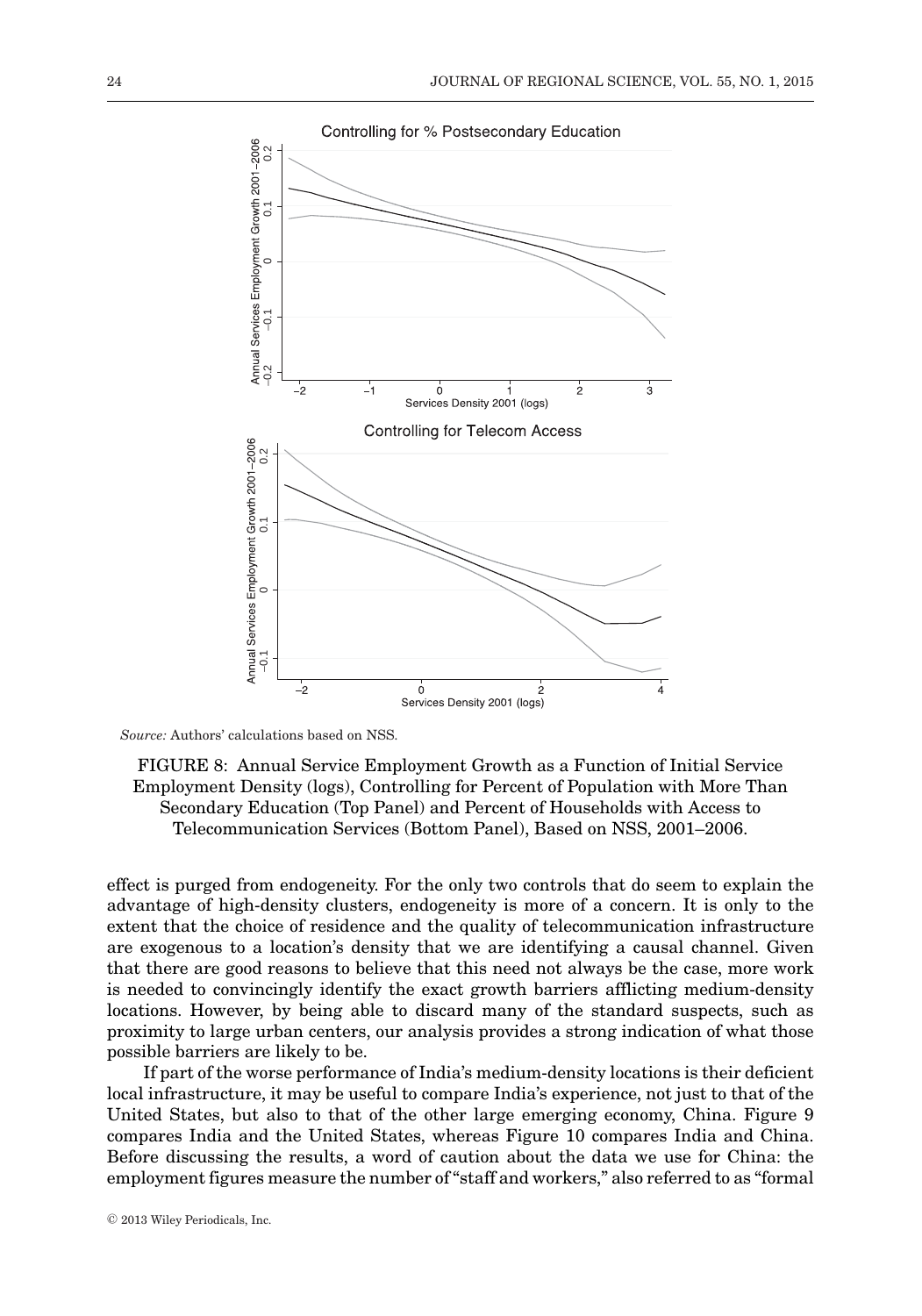

*Source:* Authors' calculations based on NSS.

FIGURE 8: Annual Service Employment Growth as a Function of Initial Service Employment Density (logs), Controlling for Percent of Population with More Than Secondary Education (Top Panel) and Percent of Households with Access to Telecommunication Services (Bottom Panel), Based on NSS, 2001–2006.

effect is purged from endogeneity. For the only two controls that do seem to explain the advantage of high-density clusters, endogeneity is more of a concern. It is only to the extent that the choice of residence and the quality of telecommunication infrastructure are exogenous to a location's density that we are identifying a causal channel. Given that there are good reasons to believe that this need not always be the case, more work is needed to convincingly identify the exact growth barriers afflicting medium-density locations. However, by being able to discard many of the standard suspects, such as proximity to large urban centers, our analysis provides a strong indication of what those possible barriers are likely to be.

If part of the worse performance of India's medium-density locations is their deficient local infrastructure, it may be useful to compare India's experience, not just to that of the United States, but also to that of the other large emerging economy, China. Figure 9 compares India and the United States, whereas Figure 10 compares India and China. Before discussing the results, a word of caution about the data we use for China: the employment figures measure the number of "staff and workers," also referred to as "formal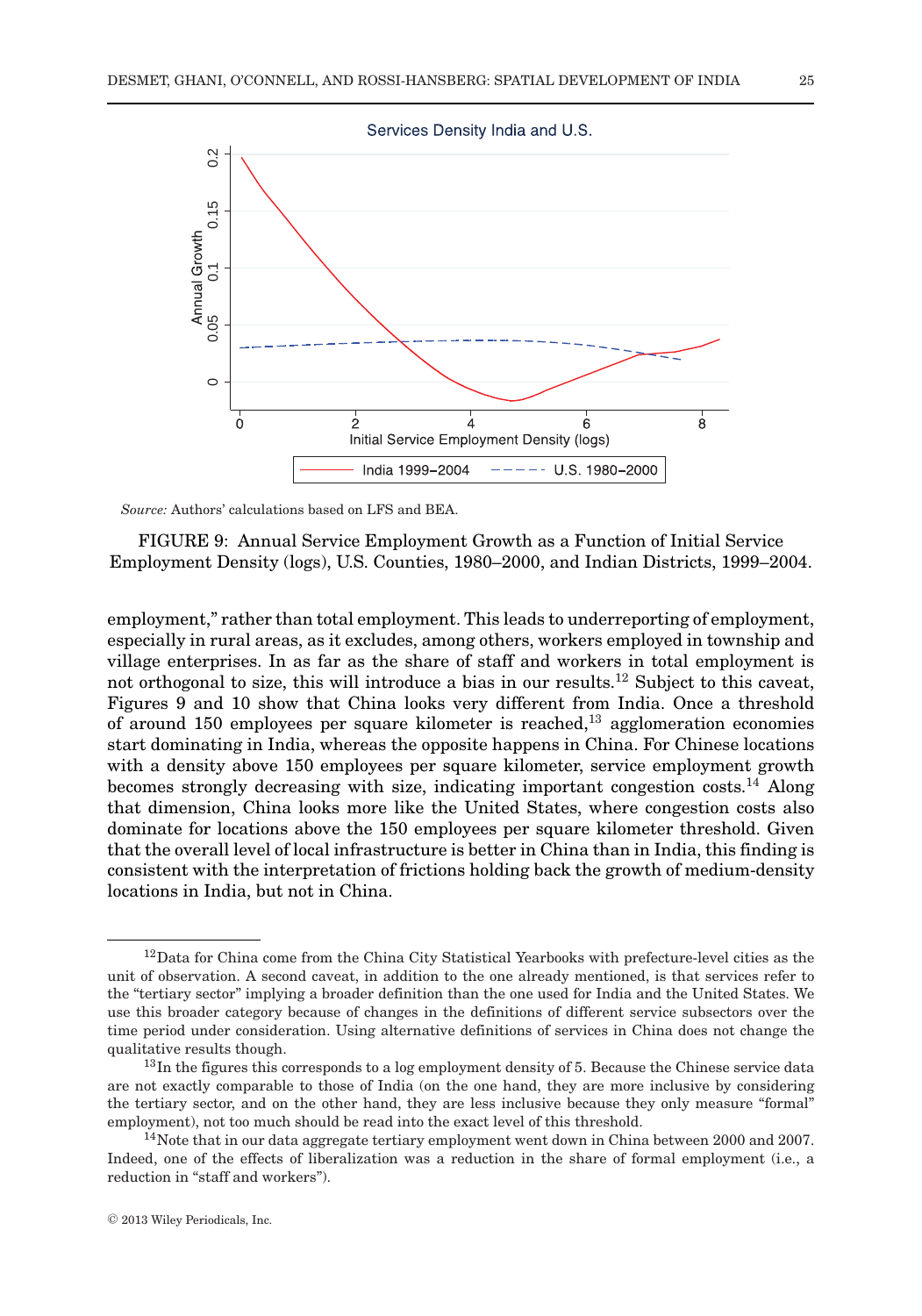

*Source:* Authors' calculations based on LFS and BEA.

FIGURE 9: Annual Service Employment Growth as a Function of Initial Service Employment Density (logs), U.S. Counties, 1980–2000, and Indian Districts, 1999–2004.

employment," rather than total employment. This leads to underreporting of employment, especially in rural areas, as it excludes, among others, workers employed in township and village enterprises. In as far as the share of staff and workers in total employment is not orthogonal to size, this will introduce a bias in our results.<sup>12</sup> Subject to this caveat, Figures 9 and 10 show that China looks very different from India. Once a threshold of around 150 employees per square kilometer is reached,<sup>13</sup> agglomeration economies start dominating in India, whereas the opposite happens in China. For Chinese locations with a density above 150 employees per square kilometer, service employment growth becomes strongly decreasing with size, indicating important congestion costs.<sup>14</sup> Along that dimension, China looks more like the United States, where congestion costs also dominate for locations above the 150 employees per square kilometer threshold. Given that the overall level of local infrastructure is better in China than in India, this finding is consistent with the interpretation of frictions holding back the growth of medium-density locations in India, but not in China.

 $12$ Data for China come from the China City Statistical Yearbooks with prefecture-level cities as the unit of observation. A second caveat, in addition to the one already mentioned, is that services refer to the "tertiary sector" implying a broader definition than the one used for India and the United States. We use this broader category because of changes in the definitions of different service subsectors over the time period under consideration. Using alternative definitions of services in China does not change the qualitative results though.

 $13$ In the figures this corresponds to a log employment density of 5. Because the Chinese service data are not exactly comparable to those of India (on the one hand, they are more inclusive by considering the tertiary sector, and on the other hand, they are less inclusive because they only measure "formal" employment), not too much should be read into the exact level of this threshold.

<sup>14</sup>Note that in our data aggregate tertiary employment went down in China between 2000 and 2007. Indeed, one of the effects of liberalization was a reduction in the share of formal employment (i.e., a reduction in "staff and workers").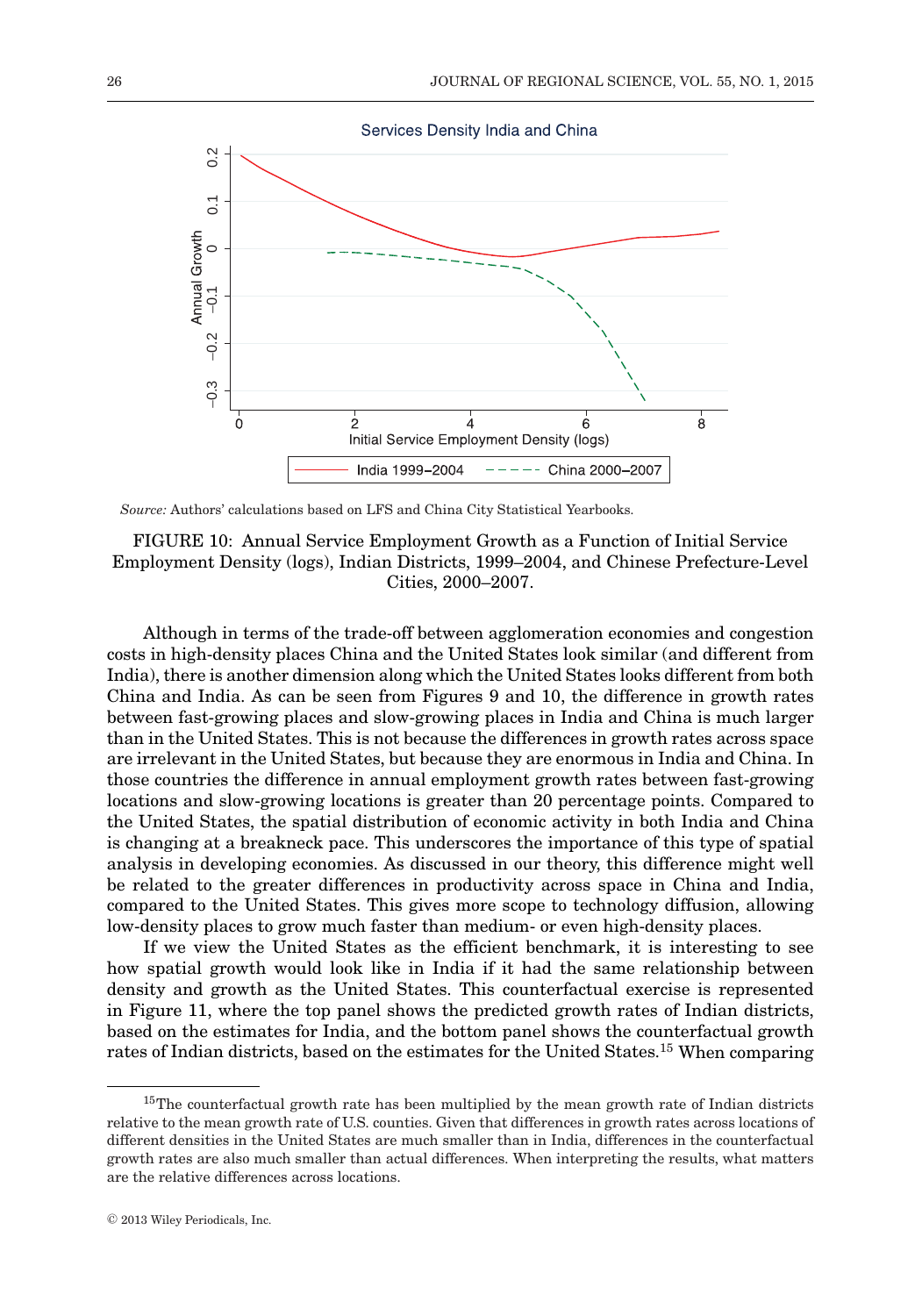

*Source:* Authors' calculations based on LFS and China City Statistical Yearbooks.

FIGURE 10: Annual Service Employment Growth as a Function of Initial Service Employment Density (logs), Indian Districts, 1999–2004, and Chinese Prefecture-Level Cities, 2000–2007.

Although in terms of the trade-off between agglomeration economies and congestion costs in high-density places China and the United States look similar (and different from India), there is another dimension along which the United States looks different from both China and India. As can be seen from Figures 9 and 10, the difference in growth rates between fast-growing places and slow-growing places in India and China is much larger than in the United States. This is not because the differences in growth rates across space are irrelevant in the United States, but because they are enormous in India and China. In those countries the difference in annual employment growth rates between fast-growing locations and slow-growing locations is greater than 20 percentage points. Compared to the United States, the spatial distribution of economic activity in both India and China is changing at a breakneck pace. This underscores the importance of this type of spatial analysis in developing economies. As discussed in our theory, this difference might well be related to the greater differences in productivity across space in China and India, compared to the United States. This gives more scope to technology diffusion, allowing low-density places to grow much faster than medium- or even high-density places.

If we view the United States as the efficient benchmark, it is interesting to see how spatial growth would look like in India if it had the same relationship between density and growth as the United States. This counterfactual exercise is represented in Figure 11, where the top panel shows the predicted growth rates of Indian districts, based on the estimates for India, and the bottom panel shows the counterfactual growth rates of Indian districts, based on the estimates for the United States.<sup>15</sup> When comparing

<sup>&</sup>lt;sup>15</sup>The counterfactual growth rate has been multiplied by the mean growth rate of Indian districts relative to the mean growth rate of U.S. counties. Given that differences in growth rates across locations of different densities in the United States are much smaller than in India, differences in the counterfactual growth rates are also much smaller than actual differences. When interpreting the results, what matters are the relative differences across locations.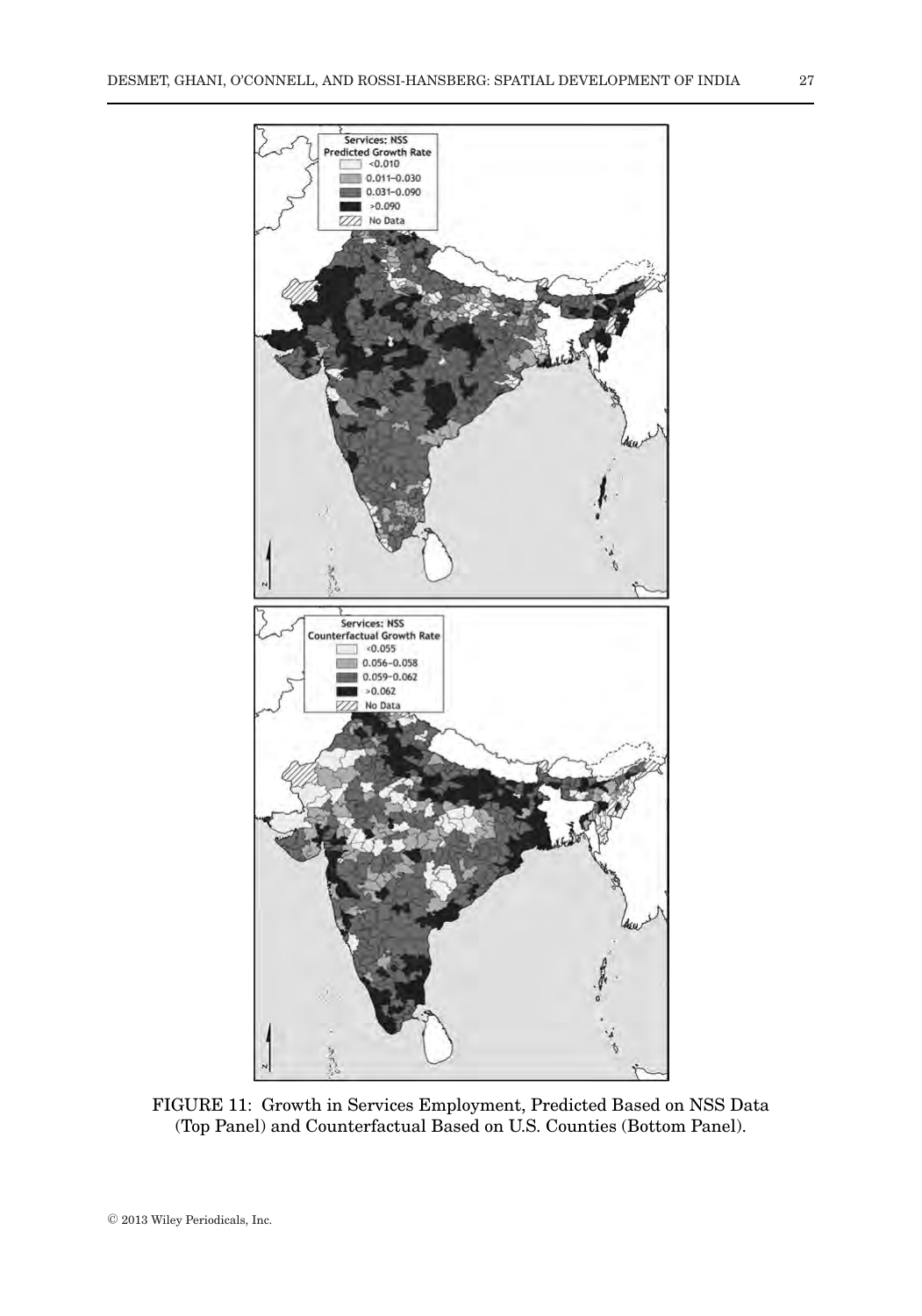

FIGURE 11: Growth in Services Employment, Predicted Based on NSS Data (Top Panel) and Counterfactual Based on U.S. Counties (Bottom Panel).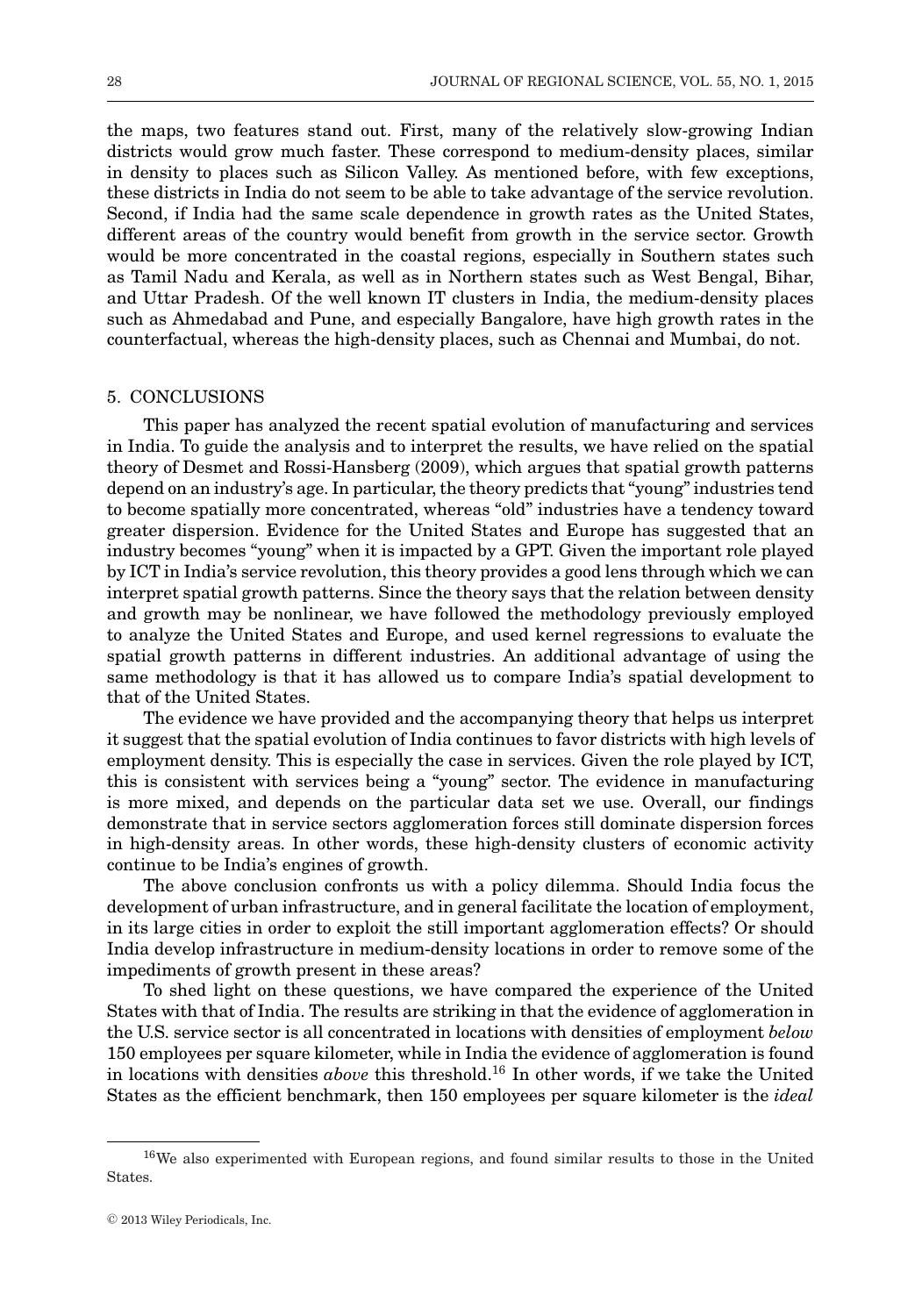the maps, two features stand out. First, many of the relatively slow-growing Indian districts would grow much faster. These correspond to medium-density places, similar in density to places such as Silicon Valley. As mentioned before, with few exceptions, these districts in India do not seem to be able to take advantage of the service revolution. Second, if India had the same scale dependence in growth rates as the United States, different areas of the country would benefit from growth in the service sector. Growth would be more concentrated in the coastal regions, especially in Southern states such as Tamil Nadu and Kerala, as well as in Northern states such as West Bengal, Bihar, and Uttar Pradesh. Of the well known IT clusters in India, the medium-density places such as Ahmedabad and Pune, and especially Bangalore, have high growth rates in the counterfactual, whereas the high-density places, such as Chennai and Mumbai, do not.

### 5. CONCLUSIONS

This paper has analyzed the recent spatial evolution of manufacturing and services in India. To guide the analysis and to interpret the results, we have relied on the spatial theory of Desmet and Rossi-Hansberg (2009), which argues that spatial growth patterns depend on an industry's age. In particular, the theory predicts that "young" industries tend to become spatially more concentrated, whereas "old" industries have a tendency toward greater dispersion. Evidence for the United States and Europe has suggested that an industry becomes "young" when it is impacted by a GPT. Given the important role played by ICT in India's service revolution, this theory provides a good lens through which we can interpret spatial growth patterns. Since the theory says that the relation between density and growth may be nonlinear, we have followed the methodology previously employed to analyze the United States and Europe, and used kernel regressions to evaluate the spatial growth patterns in different industries. An additional advantage of using the same methodology is that it has allowed us to compare India's spatial development to that of the United States.

The evidence we have provided and the accompanying theory that helps us interpret it suggest that the spatial evolution of India continues to favor districts with high levels of employment density. This is especially the case in services. Given the role played by ICT, this is consistent with services being a "young" sector. The evidence in manufacturing is more mixed, and depends on the particular data set we use. Overall, our findings demonstrate that in service sectors agglomeration forces still dominate dispersion forces in high-density areas. In other words, these high-density clusters of economic activity continue to be India's engines of growth.

The above conclusion confronts us with a policy dilemma. Should India focus the development of urban infrastructure, and in general facilitate the location of employment, in its large cities in order to exploit the still important agglomeration effects? Or should India develop infrastructure in medium-density locations in order to remove some of the impediments of growth present in these areas?

To shed light on these questions, we have compared the experience of the United States with that of India. The results are striking in that the evidence of agglomeration in the U.S. service sector is all concentrated in locations with densities of employment *below* 150 employees per square kilometer, while in India the evidence of agglomeration is found in locations with densities *above* this threshold.16 In other words, if we take the United States as the efficient benchmark, then 150 employees per square kilometer is the *ideal*

<sup>&</sup>lt;sup>16</sup>We also experimented with European regions, and found similar results to those in the United **States**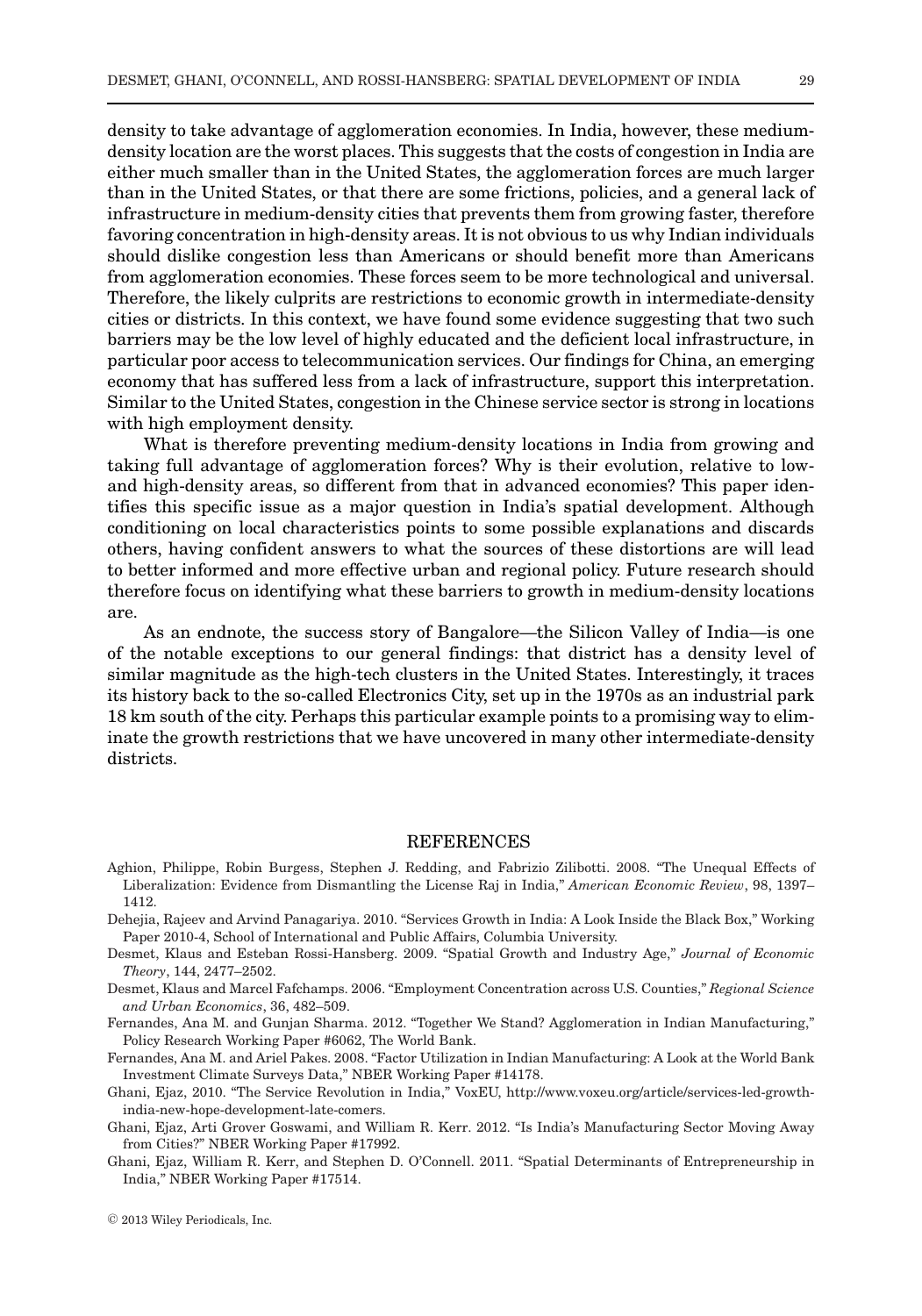density to take advantage of agglomeration economies. In India, however, these mediumdensity location are the worst places. This suggests that the costs of congestion in India are either much smaller than in the United States, the agglomeration forces are much larger than in the United States, or that there are some frictions, policies, and a general lack of infrastructure in medium-density cities that prevents them from growing faster, therefore favoring concentration in high-density areas. It is not obvious to us why Indian individuals should dislike congestion less than Americans or should benefit more than Americans from agglomeration economies. These forces seem to be more technological and universal. Therefore, the likely culprits are restrictions to economic growth in intermediate-density cities or districts. In this context, we have found some evidence suggesting that two such barriers may be the low level of highly educated and the deficient local infrastructure, in particular poor access to telecommunication services. Our findings for China, an emerging economy that has suffered less from a lack of infrastructure, support this interpretation. Similar to the United States, congestion in the Chinese service sector is strong in locations with high employment density.

What is therefore preventing medium-density locations in India from growing and taking full advantage of agglomeration forces? Why is their evolution, relative to lowand high-density areas, so different from that in advanced economies? This paper identifies this specific issue as a major question in India's spatial development. Although conditioning on local characteristics points to some possible explanations and discards others, having confident answers to what the sources of these distortions are will lead to better informed and more effective urban and regional policy. Future research should therefore focus on identifying what these barriers to growth in medium-density locations are.

As an endnote, the success story of Bangalore—the Silicon Valley of India—is one of the notable exceptions to our general findings: that district has a density level of similar magnitude as the high-tech clusters in the United States. Interestingly, it traces its history back to the so-called Electronics City, set up in the 1970s as an industrial park 18 km south of the city. Perhaps this particular example points to a promising way to eliminate the growth restrictions that we have uncovered in many other intermediate-density districts.

#### **REFERENCES**

- Aghion, Philippe, Robin Burgess, Stephen J. Redding, and Fabrizio Zilibotti. 2008. "The Unequal Effects of Liberalization: Evidence from Dismantling the License Raj in India," *American Economic Review*, 98, 1397– 1412.
- Dehejia, Rajeev and Arvind Panagariya. 2010. "Services Growth in India: A Look Inside the Black Box," Working Paper 2010-4, School of International and Public Affairs, Columbia University.
- Desmet, Klaus and Esteban Rossi-Hansberg. 2009. "Spatial Growth and Industry Age," *Journal of Economic Theory*, 144, 2477–2502.
- Desmet, Klaus and Marcel Fafchamps. 2006. "Employment Concentration across U.S. Counties," *Regional Science and Urban Economics*, 36, 482–509.
- Fernandes, Ana M. and Gunjan Sharma. 2012. "Together We Stand? Agglomeration in Indian Manufacturing," Policy Research Working Paper #6062, The World Bank.

Fernandes, Ana M. and Ariel Pakes. 2008. "Factor Utilization in Indian Manufacturing: A Look at the World Bank Investment Climate Surveys Data," NBER Working Paper #14178.

Ghani, Ejaz, 2010. "The Service Revolution in India," VoxEU, http://www.voxeu.org/article/services-led-growthindia-new-hope-development-late-comers.

- Ghani, Ejaz, Arti Grover Goswami, and William R. Kerr. 2012. "Is India's Manufacturing Sector Moving Away from Cities?" NBER Working Paper #17992.
- Ghani, Ejaz, William R. Kerr, and Stephen D. O'Connell. 2011. "Spatial Determinants of Entrepreneurship in India," NBER Working Paper #17514.